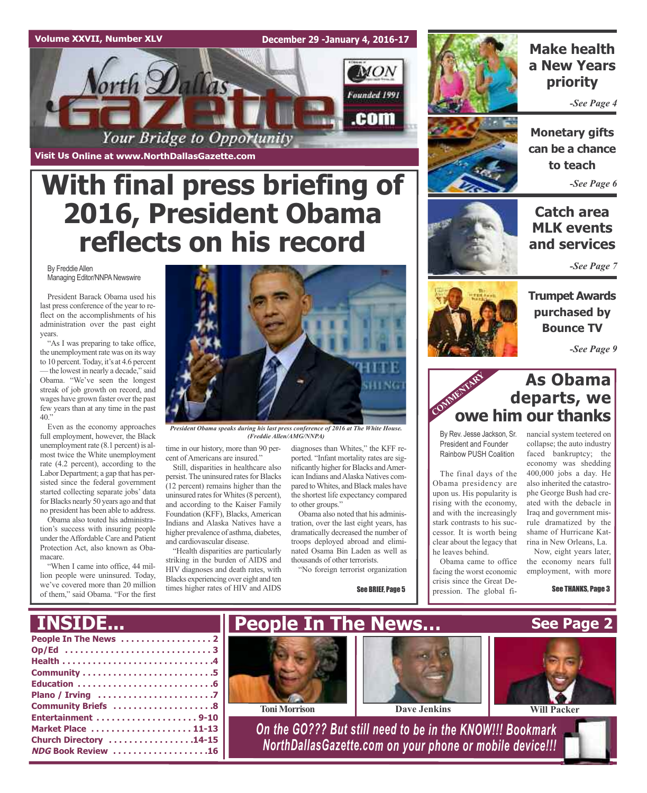### **Volume XXVII, Number XLV**

**December 29 -January 4, 2016-17**



**Visit Us Online at www.NorthDallasGazette.com**

## **With final press briefing of 2016, President Obama reflects on his record**

By Freddie Allen Managing Editor/NNPA Newswire

President Barack Obama used his last press conference of the year to reflect on the accomplishments of his administration over the past eight years.

"As I was preparing to take office, the unemployment rate was on its way to 10 percent. Today, it's at 4.6 percent —the lowest in nearly a decade," said Obama. "We've seen the longest streak of job growth on record, and wages have grown faster over the past few years than at any time in the past  $40.$ "

Even as the economy approaches full employment, however, the Black unemployment rate  $(8.1$  percent) is almost twice the White unemployment rate (4.2 percent), according to the Labor Department; a gap that has persisted since the federal government started collecting separate jobs' data for Blacks nearly 50 years ago and that no president has been able to address.

Obama also touted his administration's success with insuring people under theAffordable Care and Patient Protection Act, also known as Obamacare.

"When I came into office, 44 million people were uninsured. Today, we've covered more than 20 million of them," said Obama. "For the first



*President Obama speaks during his last press conference of 2016 at The White House. (Freddie Allen/AMG/NNPA)*

time in our history, more than 90 percent of Americans are insured."

Still, disparities in healthcare also persist. The uninsured rates for Blacks (12 percent) remains higher than the uninsured rates for Whites (8 percent), and according to the Kaiser Family Foundation (KFF), Blacks, American Indians and Alaska Natives have a higher prevalence of asthma, diabetes, and cardiovascular disease.

"Health disparities are particularly striking in the burden of AIDS and HIV diagnoses and death rates, with Blacks experiencing over eight and ten times higher rates of HIV and AIDS diagnoses than Whites," the KFF reported. "Infant mortality rates are significantly higher for Blacks and American Indians and Alaska Natives compared to Whites, and Black males have the shortest life expectancy compared to other groups."

Obama also noted that his administration, over the last eight years, has dramatically decreased the number of troops deployed abroad and eliminated Osama Bin Laden as well as thousands of other terrorists.

"No foreign terrorist organization

See BRIEF, Page 5



### **Make health a New Years priority**

*-See Page 4*



**Monetary gifts can be a chance to teach** *-See Page 6*

### **Catch area MLK events and services**

*-See Page 7*

**Trumpet Awards purchased by Bounce TV**

*-See Page 9*

### **As Obama departs, we owe him our thanks** COMMENTARY

By Rev. Jesse Jackson, Sr. President and Founder Rainbow PUSH Coalition

The final days of the Obama presidency are upon us. His popularity is rising with the economy, and with the increasingly stark contrasts to his successor. It is worth being clear about the legacy that he leaves behind.

Obama came to office facing the worst economic crisis since the Great Depression. The global financial system teetered on collapse; the auto industry faced bankruptcy; the economy was shedding 400,000 jobs a day. He also inherited the catastrophe George Bush had created with the debacle in Iraq and government misrule dramatized by the shame of Hurricane Katrina in New Orleans, La.

Now, eight years later, the economy nears full employment, with more

See THANKS, Page 3

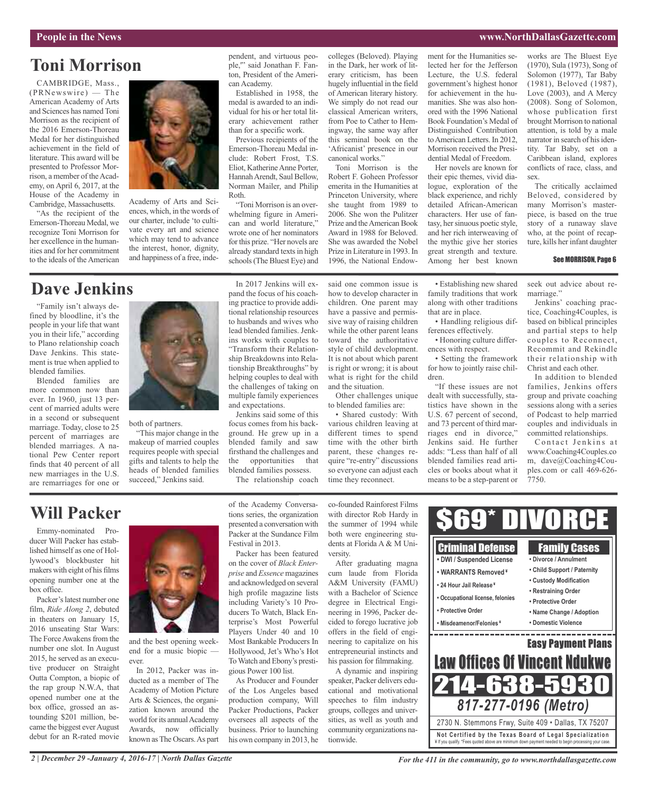### **People in the News www.NorthDallasGazette.com**

## **Toni Morrison**

CAMBRIDGE, Mass., (PRNewswire) — The American Academy of Arts and Sciences has named Toni Morrison as the recipient of the 2016 Emerson-Thoreau Medal for her distinguished achievement in the field of literature. This award will be presented to Professor Morrison, a member of the Academy, on April 6, 2017, at the House of the Academy in Cambridge, Massachusetts.

"As the recipient of the Emerson-Thoreau Medal, we recognize Toni Morrison for her excellence in the humanities and for her commitment to the ideals of the American



Academy of Arts and Sciences, which, in the words of our charter, include 'to cultivate every art and science which may tend to advance the interest, honor, dignity, and happiness of a free, inde-

#### pendent, and virtuous people,'" said Jonathan F. Fanton, President of the American Academy.

Established in 1958, the medal is awarded to an individual for his or her total literary achievement rather than for a specific work.

Previous recipients of the Emerson-Thoreau Medal include: Robert Frost, T.S. Eliot, KatherineAnne Porter, Hannah Arendt, Saul Bellow, Norman Mailer, and Philip Roth.

"Toni Morrison is an overwhelming figure in American and world literature," wrote one of her nominators for this prize. "Her novels are already standard texts in high schools(The Bluest Eye) and colleges (Beloved). Playing in the Dark, her work of literary criticism, has been hugely influential in the field of American literary history. We simply do not read our classical American writers, from Poe to Cather to Hemingway, the same way after this seminal book on the 'Africanist' presence in our canonical works."

Toni Morrison is the Robert F. Goheen Professor emerita in the Humanities at Princeton University, where she taught from 1989 to 2006. She won the Pulitzer Prize and the American Book Award in 1988 for Beloved. She was awarded the Nobel Prize in Literature in 1993. In 1996, the National Endowment for the Humanities selected her for the Jefferson Lecture, the U.S. federal government's highest honor for achievement in the humanities. She was also honored with the 1996 National Book Foundation's Medal of Distinguished Contribution toAmerican Letters. In 2012, Morrison received the Presidential Medal of Freedom.

Her novels are known for their epic themes, vivid dialogue, exploration of the black experience, and richly detailed African-American characters. Her use of fantasy, her sinuous poetic style, and her rich interweaving of the mythic give her stories great strength and texture. Among her best known

works are The Bluest Eye (1970), Sula (1973), Song of Solomon (1977), Tar Baby (1981), Beloved (1987), Love (2003), and A Mercy (2008). Song of Solomon, whose publication first brought Morrison to national attention, is told by a male narrator in search of his identity. Tar Baby, set on a Caribbean island, explores conflicts of race, class, and sex.

The critically acclaimed Beloved, considered by many Morrison's masterpiece, is based on the true story of a runaway slave who, at the point of recapture, kills her infant daughter

### See MORRISON, Page 6

## **Dave Jenkins**

"Family isn't always defined by bloodline, it's the people in your life that want you in their life," according to Plano relationship coach Dave Jenkins. This statement is true when applied to blended families.

Blended families are more common now than ever. In 1960, just 13 percent of married adults were in a second or subsequent marriage. Today, close to 25 percent of marriages are blended marriages. A national Pew Center report finds that 40 percent of all new marriages in the U.S. are remarriages for one or



both of partners.

"This major change in the makeup of married couples requires people with special gifts and talents to help the heads of blended families succeed," Jenkins said.

In 2017 Jenkins will expand the focus of his coaching practice to provide additional relationship resources to husbands and wives who lead blended families. Jenkins works with couples to "Transform their Relationship Breakdowns into Relationship Breakthroughs" by helping couples to deal with the challenges of taking on multiple family experiences and expectations.

Jenkins said some of this focus comes from his background. He grew up in a blended family and saw firsthand the challenges and the opportunities that blended families possess.

The relationship coach

said one common issue is how to develop character in children. One parent may have a passive and permissive way of raising children while the other parent leans toward the authoritative style of child development. It is not about which parent is right or wrong; it is about what is right for the child and the situation.

Other challenges unique to blended families are:

• Shared custody: With various children leaving at different times to spend time with the other birth parent, these changes require "re-entry" discussions so everyone can adjust each time they reconnect.

• Establishing new shared family traditions that work along with other traditions that are in place.

• Handling religious differences effectively.

• Honoring culture differences with respect.

• Setting the framework for how to jointly raise children.

"If these issues are not dealt with successfully, statistics have shown in the U.S. 67 percent of second, and 73 percent of third marriages end in divorce," Jenkins said. He further adds: "Less than half of all blended families read articles or books about what it means to be a step-parent or

seek out advice about remarriage."

Jenkins' coaching practice, Coaching4Couples, is based on biblical principles and partial steps to help couples to Reconnect, Recommit and Rekindle their relationship with Christ and each other.

In addition to blended families, Jenkins offers group and private coaching sessions along with a series of Podcast to help married couples and individuals in committed relationships.

Contact Jenkins at www.Coaching4Couples.co m, dave@Coaching4Couples.com or call 469-626- 7750.

## **Will Packer**

Emmy-nominated Producer Will Packer has established himself as one of Hollywood's blockbuster hit makers with eight of his films opening number one at the box office.

Packer's latest number one film, *Ride Along 2*, debuted in theaters on January 15, 2016 unseating Star Wars: The Force Awakens from the number one slot. In August 2015, he served as an executive producer on Straight Outta Compton, a biopic of the rap group N.W.A, that opened number one at the box office, grossed an astounding \$201 million, became the biggest ever August debut for an R-rated movie



and the best opening weekend for a music biopic ever.

In 2012, Packer was inducted as a member of The Academy of Motion Picture Arts & Sciences, the organization known around the world for its annual Academy Awards, now officially known asThe Oscars.As part of the Academy Conversations series, the organization presented a conversation with Packer at the Sundance Film Festival in 2013.

Packer has been featured on the cover of *Black Enterprise* and *Essence* magazines and acknowledged on several high profile magazine lists including Variety's 10 Producers To Watch, Black Enterprise's Most Powerful Players Under 40 and 10 Most Bankable Producers In Hollywood, Jet's Who's Hot ToWatch and Ebony's prestigious Power 100 list.

As Producer and Founder of the Los Angeles based production company, Will Packer Productions, Packer oversees all aspects of the business. Prior to launching his own company in 2013, he

co-founded Rainforest Films with director Rob Hardy in the summer of 1994 while both were engineering students at Florida A & M University.

After graduating magna cum laude from Florida A&M University (FAMU) with a Bachelor of Science degree in Electrical Engineering in 1996, Packer decided to forego lucrative job offers in the field of engineering to capitalize on his entrepreneurial instincts and his passion for filmmaking.

A dynamic and inspiring speaker, Packer delivers educational and motivational speeches to film industry groups, colleges and universities, as well as youth and community organizations nationwide.

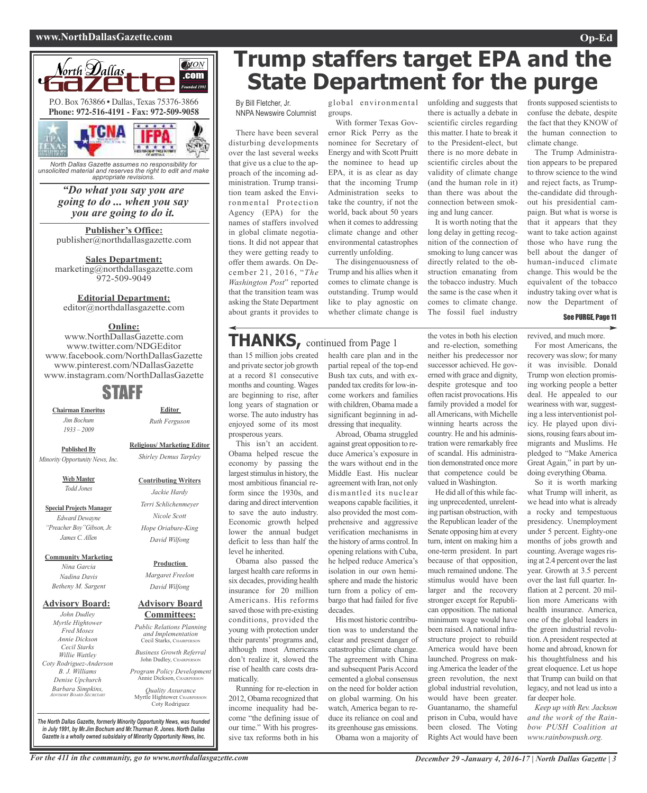### **www.NorthDallasGazette.com Op-Ed**



*North Dallas Gazette assumes no responsibility for unsolicited material and reserves the right to edit and make appropriate revisions.*

### *"Do what you say you are going to do ... when you say you are going to do it.*

**Publisher's Office:** publisher@northdallasgazette.com

**Sales Department:** marketing@northdallasgazette.com 972-509-9049

### **Editorial Department:**

editor@northdallasgazette.com

### **Online:**

www.NorthDallasGazette.com www.twitter.com/NDGEditor www.facebook.com/NorthDallasGazette www.pinterest.com/NDallasGazette www.instagram.com/NorthDallasGazette

## STAFF

**Chairman Emeritus** *Jim Bochum 1933 – 2009*

*Ruth Ferguson* **Religious/ Marketing Editor**

**Editor**

**Published By** *Minority Opportunity News, Inc.*

> **Web Master** *Todd Jones*

**Special Projects Manager** *Edward Dewayne "Preacher Boy"Gibson, Jr. James C. Allen*

**Community Marketing**

*Nina Garcia Nadina Davis Betheny M. Sargent*

### **Advisory Board:**

*John Dudley Myrtle Hightower Fred Moses Annie Dickson Cecil Starks Willie Wattley Coty Rodriguez-Anderson B. J. Williams Denise Upchurch Barbara Simpkins, ADVISORY BOARD SECRETARY*

## *Shirley Demus Tarpley* **Contributing Writers**

*Jackie Hardy Terri Schlichenmeyer Nicole Scott*

### *Hope Oriabure-King David Wilfong*

**Production** *Margaret Freelon*

*David Wilfong*

### **Advisory Board Committees:**

*Public Relations Planning and Implementation* Cecil Starks, CHAIRPERSON *Business Growth Referral*

John Dudley, CHAIRPERSO *Program Policy Development* Annie Dickson, Chairper

*Quality Assurance* Myrtle Hightower, CHAIRPERSON Coty Rodriguez

**Trump staffers target EPA and the State Department for the purge**

By Bill Fletcher, Jr. NNPA Newswire Columnist

There have been several disturbing developments over the last several weeks that give us a clue to the approach of the incoming administration. Trump transition team asked the Environmental Protection Agency (EPA) for the names of staffers involved in global climate negotiations. It did not appear that they were getting ready to offer them awards. On December 21, 2016, "*The Washington Post*" reported that the transition team was asking the State Department about grants it provides to

global environmental groups.

With former Texas Governor Rick Perry as the nominee for Secretary of Energy and with Scott Pruitt the nominee to head up EPA, it is as clear as day that the incoming Trump Administration seeks to take the country, if not the world, back about 50 years when it comes to addressing climate change and other environmental catastrophes currently unfolding.

The disingenuousness of Trump and his allies when it comes to climate change is outstanding. Trump would like to play agnostic on whether climate change is

### **THANKS,** continued from Page <sup>1</sup>

than 15 million jobs created and private sector job growth at a record 81 consecutive months and counting. Wages are beginning to rise, after long years of stagnation or worse. The auto industry has enjoyed some of its most prosperous years.

This isn't an accident. Obama helped rescue the economy by passing the largest stimulus in history, the most ambitious financial reform since the 1930s, and daring and direct intervention to save the auto industry. Economic growth helped lower the annual budget deficit to less than half the level he inherited.

Obama also passed the largest health care reforms in six decades, providing health insurance for 20 million Americans. His reforms saved those with pre-existing conditions, provided the young with protection under their parents' programs and, although most Americans don't realize it, slowed the rise of health care costs dramatically.

Running for re-election in 2012, Obama recognized that income inequality had become "the defining issue of our time." With his progressive tax reforms both in his

health care plan and in the partial repeal of the top-end Bush tax cuts, and with expanded tax credits for low-income workers and families with children, Obama made a significant beginning in addressing that inequality.

Abroad, Obama struggled against great opposition to reduce America's exposure in the wars without end in the Middle East. His nuclear agreement with Iran, not only dismantled its nuclear weapons capable facilities, it also provided the most comprehensive and aggressive verification mechanisms in the history of arms control.In opening relations with Cuba, he helped reduce America's isolation in our own hemisphere and made the historic turn from a policy of embargo that had failed for five decades.

His most historic contribution was to understand the clear and present danger of catastrophic climate change. The agreement with China and subsequent Paris Accord cemented a global consensus on the need for bolder action on global warming. On his watch, America began to reduce its reliance on coal and its greenhouse gas emissions.

Obama won a majority of

unfolding and suggests that there is actually a debate in scientific circles regarding this matter. I hate to break it to the President-elect, but there is no more debate in scientific circles about the validity of climate change (and the human role in it) than there was about the connection between smoking and lung cancer.

It is worth noting that the long delay in getting recognition of the connection of smoking to lung cancer was directly related to the obstruction emanating from the tobacco industry. Much the same is the case when it comes to climate change. The fossil fuel industry

the votes in both his election and re-election, something neither his predecessor nor successor achieved. He governed with grace and dignity, despite grotesque and too often racist provocations. His family provided a model for allAmericans, with Michelle winning hearts across the country. He and his administration were remarkably free of scandal. His administration demonstrated once more that competence could be valued in Washington.

He did all of this while facing unprecedented, unrelenting partisan obstruction, with the Republican leader of the Senate opposing him at every turn, intent on making him a one-term president. In part because of that opposition, much remained undone. The stimulus would have been larger and the recovery stronger except for Republican opposition. The national minimum wage would have been raised. A national infrastructure project to rebuild America would have been launched. Progress on makingAmerica the leader of the green revolution, the next global industrial revolution, would have been greater. Guantanamo, the shameful prison in Cuba, would have been closed. The Voting Rights Act would have been

fronts supposed scientists to confuse the debate, despite the fact that they KNOW of the human connection to climate change.

The Trump Administration appears to be prepared to throw science to the wind and reject facts, as Trumpthe-candidate did throughout his presidential campaign. But what is worse is that it appears that they want to take action against those who have rung the bell about the danger of human-induced climate change. This would be the equivalent of the tobacco industry taking over what is now the Department of

### See PURGE, Page 11

revived, and much more.

For most Americans, the recovery was slow; for many it was invisible. Donald Trump won election promising working people a better deal. He appealed to our weariness with war, suggesting a less interventionist policy. He played upon divisions, rousing fears about immigrants and Muslims. He pledged to "Make America Great Again," in part by undoing everything Obama.

So it is worth marking what Trump will inherit, as we head into what is already a rocky and tempestuous presidency. Unemployment under 5 percent. Eighty-one months of jobs growth and counting. Average wages rising at 2.4 percent over the last year. Growth at 3.5 percent over the last full quarter. Inflation at 2 percent. 20 million more Americans with health insurance. America, one of the global leaders in the green industrial revolution. A president respected at home and abroad, known for his thoughtfulness and his great eloquence. Let us hope that Trump can build on that legacy, and not lead us into a far deeper hole.

*Keep up with Rev. Jackson and the work of the Rainbow PUSH Coalition at www.rainbowpush.org.*

*The North Dallas Gazette, formerly Minority Opportunity News, was founded in July 1991, by Mr.Jim Bochum and Mr.Thurman R. Jones. North Dallas Gazette is a wholly owned subsidairy of Minority Opportunity News, Inc.*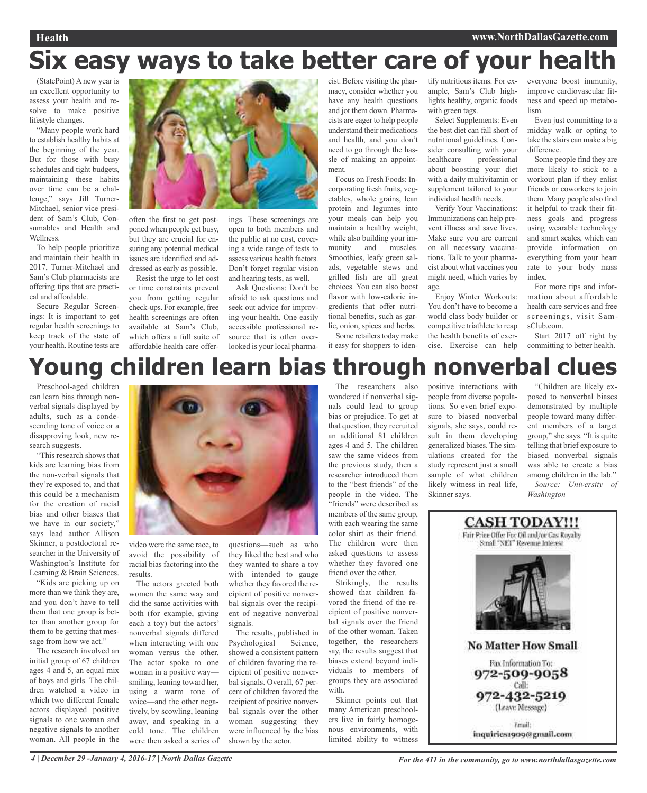# **Six easy ways to take better care of your health**

(StatePoint) A new year is an excellent opportunity to assess your health and resolve to make positive lifestyle changes.

"Many people work hard to establish healthy habits at the beginning of the year. But for those with busy schedules and tight budgets, maintaining these habits over time can be a challenge," says Jill Turner-Mitchael, senior vice president of Sam's Club, Consumables and Health and Wellness.

To help people prioritize and maintain their health in 2017, Turner-Mitchael and Sam's Club pharmacists are offering tips that are practical and affordable.

Secure Regular Screenings: It is important to get regular health screenings to keep track of the state of your health. Routine tests are



often the first to get postponed when people get busy, but they are crucial for ensuring any potential medical issues are identified and addressed as early as possible.

Resist the urge to let cost or time constraints prevent you from getting regular check-ups. For example, free health screenings are often available at Sam's Club, which offers a full suite of affordable health care offerings. These screenings are open to both members and the public at no cost, covering a wide range of tests to assess various health factors. Don't forget regular vision and hearing tests, as well.

Ask Questions: Don't be afraid to ask questions and seek out advice for improving your health. One easily accessible professional resource that is often overlooked is your local pharmacist. Before visiting the pharmacy, consider whether you have any health questions and jot them down. Pharmacists are eager to help people understand their medications and health, and you don't need to go through the hassle of making an appointment.

Focus on Fresh Foods: Incorporating fresh fruits, vegetables, whole grains, lean protein and legumes into your meals can help you maintain a healthy weight, while also building your immunity and muscles. Smoothies, leafy green salads, vegetable stews and grilled fish are all great choices. You can also boost flavor with low-calorie ingredients that offer nutritional benefits, such as garlic, onion, spices and herbs.

Some retailers today make it easy for shoppers to identify nutritious items. For example, Sam's Club highlights healthy, organic foods with green tags.

Select Supplements: Even the best diet can fall short of nutritional guidelines. Consider consulting with your<br>healthcare professional professional about boosting your diet with a daily multivitamin or supplement tailored to your individual health needs.

Verify Your Vaccinations: Immunizations can help prevent illness and save lives. Make sure you are current on all necessary vaccinations. Talk to your pharmacist about what vaccines you might need, which varies by age.

Enjoy Winter Workouts: You don't have to become a world class body builder or competitive triathlete to reap the health benefits of exercise. Exercise can help

everyone boost immunity, improve cardiovascular fitness and speed up metabolism.

Even just committing to a midday walk or opting to take the stairs can make a big difference.

Some people find they are more likely to stick to a workout plan if they enlist friends or coworkers to join them. Many people also find it helpful to track their fitness goals and progress using wearable technology and smart scales, which can provide information on everything from your heart rate to your body mass index.

For more tips and information about affordable health care services and free screenings, visit SamsClub.com.

Start 2017 off right by committing to better health.

## **Young children learn bias through nonverbal clues** The researchers also

Preschool-aged children can learn bias through nonverbal signals displayed by adults, such as a condescending tone of voice or a disapproving look, new research suggests.

"This research shows that kids are learning bias from the non-verbal signals that they're exposed to, and that this could be a mechanism for the creation of racial bias and other biases that we have in our society," says lead author Allison Skinner, a postdoctoral researcher in the University of Washington's Institute for Learning & Brain Sciences.

"Kids are picking up on more than we think they are, and you don't have to tell them that one group is better than another group for them to be getting that message from how we act."

The research involved an initial group of 67 children ages 4 and 5, an equal mix of boys and girls. The children watched a video in which two different female actors displayed positive signals to one woman and negative signals to another woman. All people in the



video were the same race, to avoid the possibility of racial bias factoring into the results.

tively, by scowling, leaning away, and speaking in a cold tone. The children were then asked a series of

The actors greeted both women the same way and did the same activities with both (for example, giving each a toy) but the actors' nonverbal signals differed when interacting with one woman versus the other. The actor spoke to one woman in a positive way smiling, leaning toward her, using a warm tone of voice—and the other negasignals.

questions—such as who they liked the best and who they wanted to share a toy with—intended to gauge whether they favored the recipient of positive nonverbal signals over the recipient of negative nonverbal

The results, published in Psychological Science, showed a consistent pattern of children favoring the recipient of positive nonverbal signals. Overall, 67 percent of children favored the recipient of positive nonverbal signals over the other woman—suggesting they were influenced by the bias shown by the actor.

wondered if nonverbal signals could lead to group bias or prejudice. To get at that question, they recruited an additional 81 children ages 4 and 5. The children saw the same videos from the previous study, then a researcher introduced them to the "best friends" of the people in the video. The "friends" were described as members of the same group, with each wearing the same color shirt as their friend. The children were then asked questions to assess whether they favored one friend over the other.

Strikingly, the results showed that children favored the friend of the recipient of positive nonverbal signals over the friend of the other woman. Taken together, the researchers say, the results suggest that biases extend beyond individuals to members of groups they are associated with.

Skinner points out that many American preschoolers live in fairly homogenous environments, with limited ability to witness

positive interactions with people from diverse populations. So even brief exposure to biased nonverbal signals, she says, could result in them developing generalized biases. The simulations created for the study represent just a small sample of what children likely witness in real life, Skinner says.

"Children are likely exposed to nonverbal biases demonstrated by multiple people toward many different members of a target group," she says. "It is quite telling that brief exposure to biased nonverbal signals was able to create a bias among children in the lab." *Source: University of*

*Washington*

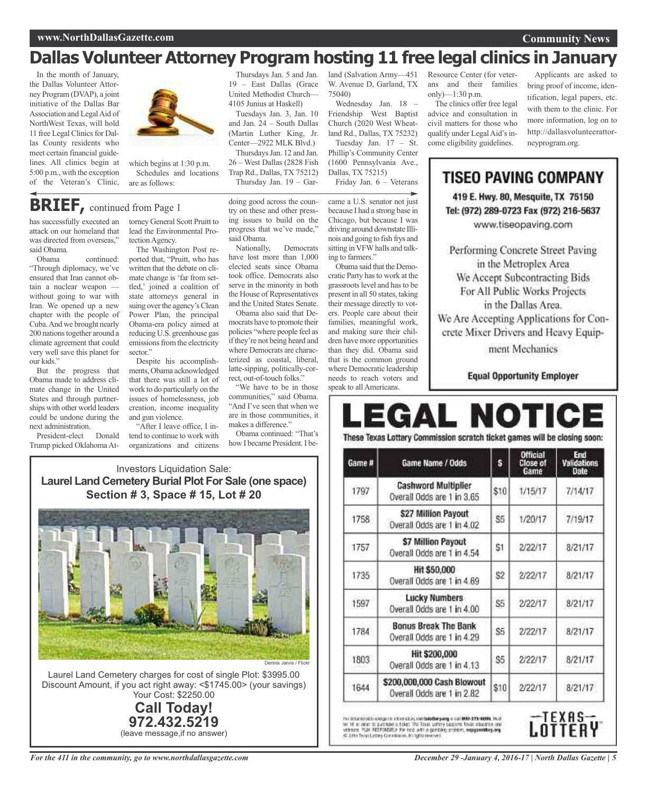## **Dallas Volunteer Attorney Program hosting 11 free legal clinics in January**

In the month of January, the Dallas Volunteer Attorney Program (DVAP), a joint initiative of the Dallas Bar Association and LegalAid of NorthWest Texas, will hold 11 free Legal Clinics for Dallas County residents who meet certain financial guidelines. All clinics begin at 5:00 p.m., with the exception of the Veteran's Clinic,



which begins at 1:30 p.m. Schedules and locations are as follows:

## **BRIEF,** continued from Page <sup>1</sup>

has successfully executed an attack on our homeland that was directed from overseas," said Obama.

continued: "Through diplomacy, we've ensured that Iran cannot obtain a nuclear weapon without going to war with Iran. We opened up a new chapter with the people of Cuba.And we brought nearly 200 nations together around a climate agreement that could very well save this planet for our kids."

But the progress that Obama made to address climate change in the United States and through partnerships with other world leaders could be undone during the next administration.

President-elect Donald Trump picked Oklahoma Attorney General Scott Pruitt to lead the Environmental Protection Agency.

The Washington Post reported that, "Pruitt, who has written that the debate on climate change is 'far from settled,' joined a coalition of state attorneys general in suing over the agency's Clean Power Plan, the principal Obama-era policy aimed at reducing U.S. greenhouse gas emissions from the electricity sector."

Despite his accomplishments, Obama acknowledged that there was still a lot of work to do particularly on the issues of homelessness, job creation, income inequality and gun violence.

"After I leave office, I intend to continue to work with organizations and citizens

Investors Liquidation Sale:

Thursdays Jan. 5 and Jan. 19 – East Dallas (Grace United Methodist Church— 4105 Junius at Haskell)

Tuesdays Jan. 3, Jan. 10 and Jan. 24 – South Dallas (Martin Luther King, Jr. Center—2922 MLK Blvd.) ThursdaysJan. 12 and Jan. 26 – West Dallas (2828 Fish Trap Rd., Dallas, TX 75212) Thursday Jan. 19 – Gar-

doing good across the country on these and other pressing issues to build on the progress that we've made," said Obama.

Nationally, Democrats have lost more than 1,000 elected seats since Obama took office. Democrats also serve in the minority in both the House of Representatives and the United States Senate.

Obama also said that Democrats have to promote their policies "where people feel as if they're not being heard and where Democrats are characterized as coastal, liberal, latte-sipping, politically-correct, out-of-touch folks."

"We have to be in those communities," said Obama. "And I've seen that when we are in those communities, it makes a difference"

Obama continued: "That's how I became President.I beland (Salvation Army—451 W. Avenue D, Garland, TX 75040)

Wednesday Jan. 18 – Friendship West Baptist Church (2020 West Wheatland Rd., Dallas, TX 75232) Tuesday Jan. 17 – St. Phillip's Community Center (1600 Pennsylvania Ave., Dallas, TX 75215) Friday Jan. 6 – Veterans

came a U.S. senator not just because I had a strong base in Chicago, but because I was driving around downstate Illinois and going to fish frys and sitting in VFW halls and talk-

ing to farmers." Obama said that the Democratic Party has to work at the grassroots level and has to be present in all 50 states, taking their message directly to voters. People care about their families, meaningful work, and making sure their children have more opportunities than they did. Obama said that is the common ground where Democratic leadership needs to reach voters and speak to all Americans.

Resource Center (for veterans and their families only)—1:30 p.m.

The clinics offer free legal advice and consultation in civil matters for those who qualify under Legal Aid's income eligibility guidelines.

Applicants are asked to bring proof of income, identification, legal papers, etc. with them to the clinic. For more information, log on to http://dallasvolunteerattorneyprogram.org.

**Community News**

**TISEO PAVING COMPANY** 419 E. Hwy. 80, Mesquite, TX 75150 Tel: (972) 289-0723 Fax (972) 216-5637

www.tiseopaving.com

Performing Concrete Street Paving in the Metroplex Area We Accept Subcontracting Bids For All Public Works Projects in the Dallas Area. We Are Accepting Applications for Concrete Mixer Drivers and Heavy Equip-

ment Mechanics

**Equal Opportunity Employer** 

# EGAL NOTI

These Texas Lottery Commission scratch ticket games will be closing soon:

| Game # | Game Name / Odds                                          | s    | <b>Official</b><br>Close of<br>Game | End<br>Validations<br>Date |
|--------|-----------------------------------------------------------|------|-------------------------------------|----------------------------|
| 1797   | <b>Cashword Multiplier</b><br>Overall Odds are 1 in 3.65  | \$10 | 1/15/17                             | 7/14/17                    |
| 1758   | \$27 Million Payout<br>Overall Odds are 1 in 4.02         | S5   | 1/20/17                             | 7/19/17                    |
| 1757   | \$7 Million Payout<br>Overall Odds are 1 in 4.54          | S1   | 2/22/17                             | 8/21/17                    |
| 1735   | Hit \$50,000<br>Overall Odds are 1 in 4.69                | \$2  | 2/22/17                             | 8/21/17                    |
| 1597   | <b>Lucky Numbers</b><br>Overall Odds are 1 in 4.00        | \$5  | 2/22/17                             | 8/21/17                    |
| 1784   | <b>Bonus Break The Bank</b><br>Overall Odds are 1 in 4.29 | S5   | 2/22/17                             | 8/21/17                    |
| 1803   | Hit \$200,000<br>Overall Odds are 1 in 4.13               | S5   | 2/22/17                             | 8/21/17                    |
| 1644   | \$200,000,000 Cash Blowout<br>Overall Odds are 1 in 2.82  | \$10 | 2/22/17                             | 8/21/17                    |

For detailed odds and gains information, vanitalized playing or out 800-379-8888. Pour to 16 as observed a field The Tosac Lottery support fisses abusiness and versees in EBAC FEE Tosac Lottery support fisses abusiness an



**Laurel Land Cemetery Burial Plot For Sale (one space) Section # 3, Space # 15, Lot # 20**



Discount Amount, if you act right away: <\$1745.00> (your savings) Your Cost: \$2250.00

> **Call Today! 972.432.5219** (leave message,if no answer)

*For the 411 in the community, go to www.northdallasgazette.com*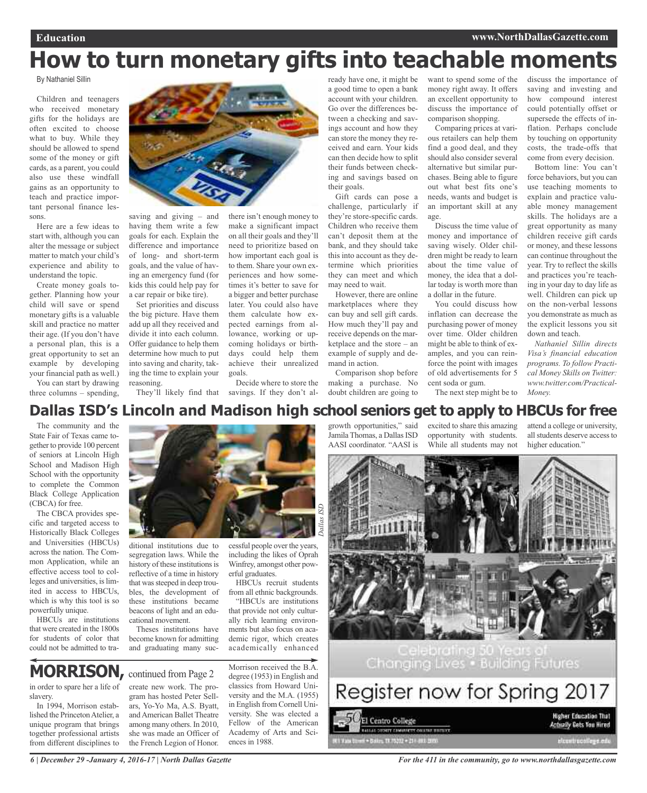## **How to turn monetary gifts into teachable moments**

By Nathaniel Sillin

Children and teenagers who received monetary gifts for the holidays are often excited to choose what to buy. While they should be allowed to spend some of the money or gift cards, as a parent, you could also use these windfall gains as an opportunity to teach and practice important personal finance lessons.

Here are a few ideas to start with, although you can alter the message or subject matter to match your child's experience and ability to understand the topic.

Create money goals together. Planning how your child will save or spend monetary gifts is a valuable skill and practice no matter their age. (If you don't have a personal plan, this is a great opportunity to set an example by developing your financial path as well.)

You can start by drawing three columns – spending,



saving and giving – and having them write a few goals for each. Explain the difference and importance of long- and short-term goals, and the value of having an emergency fund (for kids this could help pay for a car repair or bike tire).

Set priorities and discuss the big picture. Have them add up all they received and divide it into each column. Offer guidance to help them determine how much to put into saving and charity, taking the time to explain your reasoning.

ditional institutions due to segregation laws. While the history of these institutions is reflective of a time in history that was steeped in deep troubles, the development of these institutions became beacons of light and an edu-

cational movement.

make a significant impact on all their goals and they'll need to prioritize based on how important each goal is to them. Share your own experiences and how sometimes it's better to save for a bigger and better purchase later. You could also have them calculate how expected earnings from allowance, working or upcoming holidays or birthdays could help them achieve their unrealized goals.

They'll likely find that savings. If they don't al-Decide where to store the ready have one, it might be a good time to open a bank account with your children. Go over the differences between a checking and savings account and how they can store the money they received and earn. Your kids can then decide how to split their funds between checking and savings based on their goals.

Gift cards can pose a challenge, particularly if they're store-specific cards. Children who receive them can't deposit them at the bank, and they should take this into account as they determine which priorities they can meet and which may need to wait.

However, there are online marketplaces where they can buy and sell gift cards. How much they'll pay and receive depends on the marketplace and the store – an example of supply and demand in action.

Comparison shop before making a purchase. No doubt children are going to

want to spend some of the money right away. It offers an excellent opportunity to discuss the importance of comparison shopping.

Comparing prices at various retailers can help them find a good deal, and they should also consider several alternative but similar purchases. Being able to figure out what best fits one's needs, wants and budget is an important skill at any age.

Discuss the time value of money and importance of saving wisely. Older children might be ready to learn about the time value of money, the idea that a dollar today is worth more than a dollar in the future.

You could discuss how inflation can decrease the purchasing power of money over time. Older children might be able to think of examples, and you can reinforce the point with images of old advertisements for 5 cent soda or gum.

The next step might be to

discuss the importance of saving and investing and how compound interest could potentially offset or supersede the effects of inflation. Perhaps conclude by touching on opportunity costs, the trade-offs that come from every decision.

Bottom line: You can't force behaviors, but you can use teaching moments to explain and practice valuable money management skills. The holidays are a great opportunity as many children receive gift cards or money, and these lessons can continue throughout the year. Try to reflect the skills and practices you're teaching in your day to day life as well. Children can pick up on the non-verbal lessons you demonstrate as much as the explicit lessons you sit down and teach.

*Nathaniel Sillin directs Visa's financial education programs. To follow Practical Money Skills on Twitter: www.twitter.com/Practical-Money.*

### **Dallas ISD's Lincoln and Madison high school seniors get to apply to HBCUs for free**

*Dallas ISD*

Dallas ISD

The community and the State Fair of Texas came together to provide 100 percent of seniors at Lincoln High School and Madison High School with the opportunity to complete the Common Black College Application (CBCA) for free.

The CBCA provides specific and targeted access to Historically Black Colleges and Universities (HBCUs) across the nation. The Common Application, while an effective access tool to colleges and universities, is limited in access to HBCUs, which is why this tool is so powerfully unique.

HBCUs are institutions that were created in the 1800s for students of color that could not be admitted to tra-



in order to spare her a life of slavery.

In 1994, Morrison established the Princeton Atelier, a unique program that brings together professional artists from different disciplines to create new work. The program has hosted Peter Sellars, Yo-Yo Ma, A.S. Byatt, andAmerican Ballet Theatre among many others. In 2010, she was made an Officer of the French Legion of Honor.

Theses institutions have become known for admitting and graduating many successful people over the years, including the likes of Oprah Winfrey, amongst other powerful graduates.

HBCUs recruit students from all ethnic backgrounds.

"HBCUs are institutions that provide not only culturally rich learning environments but also focus on academic rigor, which creates academically enhanced

Morrison received the B.A. degree (1953) in English and classics from Howard University and the M.A. (1955) in English from Cornell University. She was elected a Fellow of the American Academy of Arts and Sciences in 1988.

growth opportunities," said Jamila Thomas, a Dallas ISD AASI coordinator. "AASI is

excited to share this amazing opportunity with students. While all students may not

attend a college or university, all students deserve access to higher education."



Changing Lives . Building Futures

| Register now tor Spring 2017              |                                                                |
|-------------------------------------------|----------------------------------------------------------------|
| $-50$ El Centro College                   | <b>Higher Education That</b><br><b>Actually Gets You Hired</b> |
| 1 Vata titreni = Bailey, 73 75202 = 218 4 |                                                                |

*6 | December 29 -January 4, 2016-17 | North Dallas Gazette*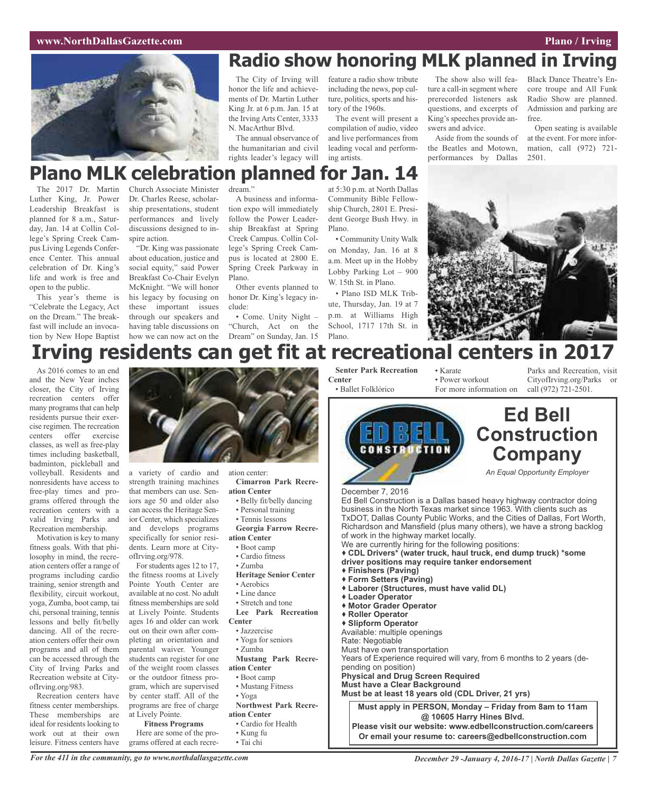

## **Radio show honoring MLK planned in Irving**

The City of Irving will honor the life and achievements of Dr. Martin Luther King Jr. at 6 p.m. Jan. 15 at the Irving Arts Center, 3333 N. MacArthur Blvd.

The annual observance of the humanitarian and civil rights leader's legacy will feature a radio show tribute including the news, pop culture, politics, sports and history of the 1960s. The event will present a

compilation of audio, video and live performances from leading vocal and performing artists.

The show also will feature a call-in segment where prerecorded listeners ask questions, and excerpts of King's speeches provide answers and advice.

Aside from the sounds of the Beatles and Motown, performances by Dallas

Black Dance Theatre's Encore troupe and All Funk Radio Show are planned. Admission and parking are free.

Open seating is available at the event. For more information, call (972) 721- 2501.

## **Plano MLK celebration planned for Jan. 14**

The 2017 Dr. Martin Luther King, Jr. Power Leadership Breakfast is planned for 8 a.m., Saturday, Jan. 14 at Collin College's Spring Creek Campus Living Legends Conference Center. This annual celebration of Dr. King's life and work is free and open to the public.

This year's theme is "Celebrate the Legacy, Act on the Dream." The breakfast will include an invocation by New Hope Baptist

Church Associate Minister Dr. Charles Reese, scholarship presentations, student performances and lively discussions designed to inspire action.

"Dr. King was passionate about education, justice and social equity," said Power Breakfast Co-Chair Evelyn McKnight. "We will honor his legacy by focusing on these important issues through our speakers and having table discussions on

dream."

A business and information expo will immediately follow the Power Leadership Breakfast at Spring Creek Campus. Collin College's Spring Creek Campus is located at 2800 E. Spring Creek Parkway in Plano.

Other events planned to honor Dr. King's legacy include:

how we can now act on the Dream" on Sunday, Jan. 15 • Come. Unity Night – "Church, Act on the

at 5:30 p.m. at North Dallas Community Bible Fellowship Church, 2801 E. President George Bush Hwy. in Plano.

• Community Unity Walk on Monday, Jan. 16 at 8 a.m. Meet up in the Hobby Lobby Parking Lot – 900 W. 15th St. in Plano.

• Plano ISD MLK Tribute, Thursday, Jan. 19 at 7 p.m. at Williams High School, 1717 17th St. in Plano.



## **Irving residents can get fit at recreational centers in 2017**

As 2016 comes to an end and the New Year inches closer, the City of Irving recreation centers offer many programs that can help residents pursue their exercise regimen. The recreation centers offer exercise classes, as well as free-play times including basketball, badminton, pickleball and volleyball. Residents and nonresidents have access to free-play times and programs offered through the recreation centers with a valid Irving Parks and Recreation membership.

Motivation is key to many fitness goals. With that philosophy in mind, the recreation centers offer a range of programs including cardio training, senior strength and flexibility, circuit workout, yoga, Zumba, boot camp, tai chi, personal training, tennis lessons and belly fit/belly dancing. All of the recreation centers offer their own programs and all of them can be accessed through the City of Irving Parks and Recreation website at CityofIrving.org/983.

Recreation centers have fitness center memberships. These memberships are ideal for residents looking to work out at their own leisure. Fitness centers have



a variety of cardio and strength training machines that members can use. Seniors age 50 and older also can access the Heritage Senior Center, which specializes and develops programs specifically for senior residents. Learn more at CityofIrving.org/978.

For students ages 12 to 17, the fitness rooms at Lively Pointe Youth Center are available at no cost. No adult fitness memberships are sold at Lively Pointe. Students ages 16 and older can work out on their own after completing an orientation and parental waiver. Younger students can register for one of the weight room classes or the outdoor fitness program, which are supervised by center staff. All of the programs are free of charge at Lively Pointe.

**Fitness Programs**

Here are some of the programs offered at each recre-

ation center: **Cimarron Park Recre-**

- **ation Center** • Belly fit/belly dancing
- 
- Personal training • Tennis lessons

**Georgia Farrow Recreation Center**

- Boot camp
- Cardio fitness
- Zumba
- **Heritage Senior Center**
- Aerobics
- Line dance
- Stretch and tone
- **Lee Park Recreation Center**
- Jazzercise
- Yoga for seniors
- Zumba
- **Mustang Park Recre-**
- **ation Center**
- Boot camp
- Mustang Fitness
- Yoga
- **Northwest Park Recreation Center**
- Cardio for Health
- Kung fu
- 
- Tai chi

**Senter Park Recreation Center** • Ballet Folklórico

• Karate • Power workout

Parks and Recreation, visit CityofIrving.org/Parks or call (972) 721-2501.



For more information on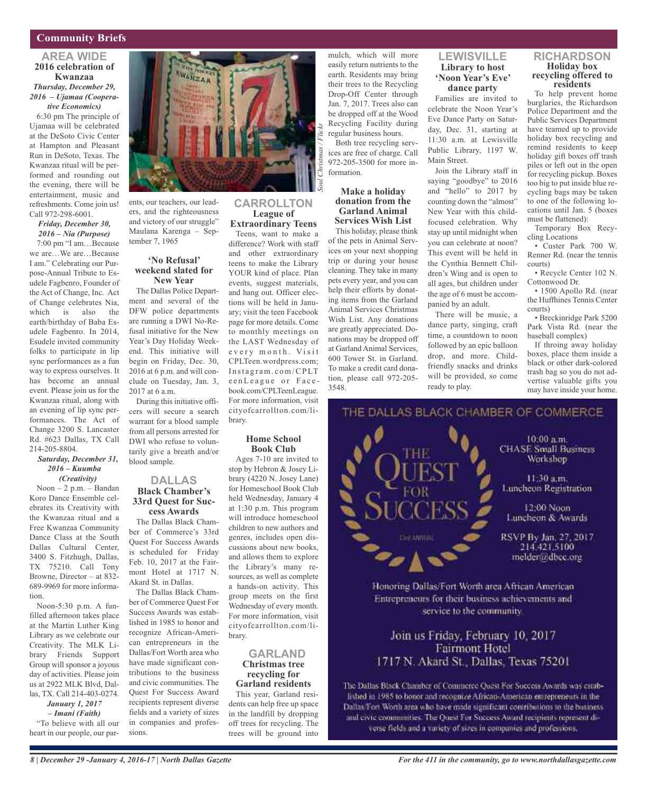### **Community Briefs**

### **AREA WIDE 2016 celebration of Kwanzaa** *Thursday, December 29, 2016 – Ujamaa (Cooperative Economics)*

6:30 pm The principle of Ujamaa will be celebrated at the DeSoto Civic Center at Hampton and Pleasant Run in DeSoto, Texas. The Kwanzaa ritual will be performed and rounding out the evening, there will be entertainment, music and refreshments. Come join us! Call 972-298-6001.

### *Friday, December 30, 2016 – Nia (Purpose)*

7:00 pm "I am…Because we are…We are…Because I am." Celebrating our Purpose-Annual Tribute to Esudele Fagbenro, Founder of the Act of Change, Inc. Act of Change celebrates Nia, which is also the earth/birthday of Baba Esudele Fagbenro. In 2014, Esudele invited community folks to participate in lip sync performances as a fun way to express ourselves. It has become an annual event. Please join us for the Kwanzaa ritual, along with an evening of lip sync performances. The Act of Change 3200 S. Lancaster Rd. #623 Dallas, TX Call 214-205-8804.

### *Saturday, December 31, 2016 – Kuumba (Creativity)*

Noon – 2 p.m. – Bandan Koro Dance Ensemble celebrates its Creativity with the Kwanzaa ritual and a Free Kwanzaa Community Dance Class at the South Dallas Cultural Center, 3400 S. Fitzhugh, Dallas, TX 75210. Call Tony Browne, Director – at 832- 689-9969 for more information.

Noon-5:30 p.m. A funfilled afternoon takes place at the Martin Luther King Library as we celebrate our Creativity. The MLK Library Friends Support Group will sponsor a joyous day of activities. Please join us at 2922 MLK Blvd, Dallas, TX. Call 214-403-0274. *January 1, 2017*

### *– Imani (Faith)*

"To believe with all our heart in our people, our par-



ents, our teachers, our leaders, and the righteousness and victory of our struggle" Maulana Karenga – September 7, 1965

### **'No Refusal' weekend slated for New Year**

The Dallas Police Department and several of the DFW police departments are running a DWI No-Refusal initiative for the New Year's Day Holiday Weekend. This initiative will begin on Friday, Dec. 30, 2016 at 6 p.m. and will conclude on Tuesday, Jan. 3, 2017 at 6 a.m.

During this initiative officers will secure a search warrant for a blood sample from all persons arrested for DWI who refuse to voluntarily give a breath and/or blood sample.

### **DALLAS Black Chamber's 33rd Quest for Success Awards**

The Dallas Black Chamber of Commerce's 33rd Quest For Success Awards is scheduled for Friday Feb. 10, 2017 at the Fairmont Hotel at 1717 N. Akard St. in Dallas.

The Dallas Black Chamber of Commerce Quest For Success Awards was established in 1985 to honor and recognize African-American entrepreneurs in the Dallas/Fort Worth area who have made significant contributions to the business and civic communities. The Quest For Success Award recipients represent diverse fields and a variety of sizes in companies and professions.

### **CARROLLTON League of Extraordinary Teens**

Teens, want to make a difference? Work with staff and other extraordinary teens to make the Library YOUR kind of place. Plan events, suggest materials, and hang out. Officer elections will be held in January; visit the teen Facebook page for more details. Come to monthly meetings on the LAST Wednesday of every month. Visit CPLTeen.wordpress.com; Instagram.com/CPLT e en League or Facebook.com/CPLTeenLeague. For more information, visit cityofcarrollton.com/library.

### **Home School Book Club**

Ages 7-10 are invited to stop by Hebron & Josey Library (4220 N. Josey Lane) for Homeschool Book Club held Wednesday, January 4 at 1:30 p.m. This program will introduce homeschool children to new authors and genres, includes open discussions about new books, and allows them to explore the Library's many resources, as well as complete a hands-on activity. This group meets on the first Wednesday of every month. For more information, visit cityofcarrollton.com/library.

### **GARLAND Christmas tree recycling for Garland residents**

This year, Garland residents can help free up space in the landfill by dropping off trees for recycling. The trees will be ground into mulch, which will more easily return nutrients to the earth. Residents may bring their trees to the Recycling Drop-Off Center through Jan. 7, 2017. Trees also can be dropped off at the Wood Recycling Facility during regular business hours.

Both tree recycling services are free of charge. Call 972-205-3500 for more information.

### **Make a holiday donation from the Garland Animal Services Wish List**

This holiday, please think of the pets in Animal Services on your next shopping trip or during your house cleaning. They take in many pets every year, and you can help their efforts by donating items from the Garland Animal Services Christmas Wish List. Any donations are greatly appreciated. Donations may be dropped off at Garland Animal Services, 600 Tower St. in Garland. To make a credit card donation, please call 972-205- 3548.

### **LEWISVILLE Library to host 'Noon Year's Eve' dance party**

Families are invited to celebrate the Noon Year's Eve Dance Party on Saturday, Dec. 31, starting at 11:30 a.m. at Lewisville Public Library, 1197 W. Main Street.

Join the Library staff in saying "goodbye" to 2016 and "hello" to 2017 by counting down the "almost" New Year with this childfocused celebration. Why stay up until midnight when you can celebrate at noon? This event will be held in the Cynthia Bennett Children's Wing and is open to all ages, but children under the age of 6 must be accompanied by an adult.

There will be music, a dance party, singing, craft time, a countdown to noon followed by an epic balloon drop, and more. Childfriendly snacks and drinks will be provided, so come ready to play.

### **RICHARDSON Holiday box recycling offered to residents**

To help prevent home burglaries, the Richardson Police Department and the Public Services Department have teamed up to provide holiday box recycling and remind residents to keep holiday gift boxes off trash piles or left out in the open for recycling pickup. Boxes too big to put inside blue recycling bags may be taken to one of the following locations until Jan. 5 (boxes must be flattened):

Temporary Box Recycling Locations

• Custer Park 700 W. Renner Rd. (near the tennis courts)

• Recycle Center 102 N. Cottonwood Dr.

• 1500 Apollo Rd. (near the Huffhines Tennis Center courts)

• Breckinridge Park 5200 Park Vista Rd. (near the baseball complex)

If throing away holiday boxes, place them inside a black or other dark-colored trash bag so you do not advertise valuable gifts you may have inside your home.



THE Workshop 11:30 a.m. Luncheon Registration 12:00 Noon Luncheon & Awards RSVP By Jan, 27, 2017 **See ANNUAL** 214.421.5100

melder@dbcc.org

Honoring Dallas/Fort Worth area African American Entrepreneurs for their business achievements and service to the community.

### Join us Friday, February 10, 2017 **Fairmont Hotel** 1717 N. Akard St., Dallas, Texas 75201

The Dallas Black Chamber of Commerce Quest For Success Awards was established in 1985 to honor and recognize African-American entrepreneurs in the Dallas/Fort Worth area who have made significant contributions to the businessand civic communities. The Quest For Success Award recipients represent diverse fields and a variety of sizes in companies and professions,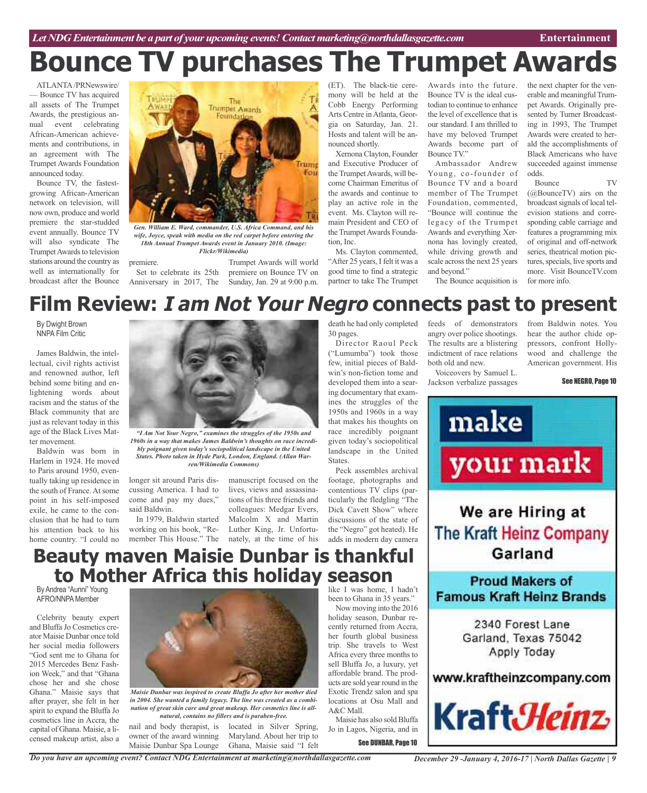## **Bounce TV purchases The Trumpet Awards**

ATLANTA/PRNewswire/ — Bounce TV has acquired all assets of The Trumpet Awards, the prestigious annual event celebrating African-American achievements and contributions, in an agreement with The Trumpet Awards Foundation announced today.

Bounce TV, the fastestgrowing African-American network on television, will now own, produce and world premiere the star-studded event annually. Bounce TV will also syndicate The Trumpet Awards to television stations around the country as well as internationally for broadcast after the Bounce



*Gen. William E. Ward, commander, U.S. Africa Command, and his wife, Joyce, speak with media on the red carpet before entering the 18th Annual Trumpet Awards event in January 2010. (Image: Flickr/Wikimedia)*

premiere. Set to celebrate its 25th

Anniversary in 2017, The Sunday, Jan. 29 at 9:00 p.m. Trumpet Awards will world premiere on Bounce TV on (ET). The black-tie ceremony will be held at the Cobb Energy Performing Arts Centre in Atlanta, Georgia on Saturday, Jan. 21. Hosts and talent will be announced shortly.

Xernona Clayton, Founder and Executive Producer of the Trumpet Awards, will become Chairman Emeritus of the awards and continue to play an active role in the event. Ms. Clayton will remain President and CEO of the Trumpet Awards Foundation, Inc.

Ms. Clayton commented, "After 25 years, I felt it was a good time to find a strategic partner to take The Trumpet

Awards into the future. Bounce TV is the ideal custodian to continue to enhance the level of excellence that is our standard. I am thrilled to have my beloved Trumpet Awards become part of Bounce TV."

Ambassador Andrew Young, co-founder of Bounce TV and a board member of The Trumpet Foundation, commented, "Bounce will continue the legacy of the Trumpet Awards and everything Xernona has lovingly created, while driving growth and scale across the next 25 years and beyond." The Bounce acquisition is the next chapter for the venerable and meaningful Trumpet Awards. Originally presented by Turner Broadcasting in 1993, The Trumpet Awards were created to herald the accomplishments of Black Americans who have succeeded against immense odds.

Bounce TV (@BounceTV) airs on the broadcast signals of local television stations and corresponding cable carriage and features a programming mix of original and off-network series, theatrical motion pictures, specials, live sports and more. Visit BounceTV.com for more info.

## **Film Review: I am Not Your Negro connects past to present**

By Dwight Brown NNPA Film Critic

James Baldwin, the intellectual, civil rights activist and renowned author, left behind some biting and enlightening words about racism and the status of the Black community that are just as relevant today in this age of the Black Lives Matter movement.

Baldwin was born in Harlem in 1924. He moved to Paris around 1950, eventually taking up residence in the south of France. At some point in his self-imposed exile, he came to the conclusion that he had to turn his attention back to his home country. "I could no



*1960s in a way that makes James Baldwin's thoughts on race incredibly poignant given today's sociopolitical landscape in the United States. Photo taken in Hyde Park, London, England. (Allan Warren/Wikimedia Commons)*

longer sit around Paris discussing America. I had to come and pay my dues," said Baldwin.

In 1979, Baldwin started working on his book, "Remember This House." The nately, at the time of his

manuscript focused on the lives, views and assassinations of his three friends and colleagues: Medgar Evers, Malcolm X and Martin Luther King, Jr. Unfortu-

death he had only completed 30 pages.

Director Raoul Peck ("Lumumba") took those few, initial pieces of Baldwin's non-fiction tome and developed them into a searing documentary that examines the struggles of the 1950s and 1960s in a way that makes his thoughts on race incredibly poignant given today's sociopolitical landscape in the United States.

Peck assembles archival footage, photographs and contentious TV clips (particularly the fledgling "The Dick Cavett Show" where discussions of the state of the "Negro" got heated). He adds in modern day camera

## **Beauty maven Maisie Dunbar is thankful to Mother Africa this holiday season**

By Andrea "Aunni" Young AFRO/NNPA Member

Celebrity beauty expert and Bluffa Jo Cosmetics creator Maisie Dunbar once told her social media followers "God sent me to Ghana for 2015 Mercedes Benz Fashion Week," and that "Ghana chose her and she chose Ghana." Maisie says that after prayer, she felt in her spirit to expand the Bluffa Jo cosmetics line in Accra, the capital of Ghana. Maisie, a licensed makeup artist, also a



*Maisie Dunbar was inspired to create Bluffa Jo after her mother died in 2004. She wanted a family legacy. The line was created as a combination of great skin care and great makeup. Her cosmetics line is allnatural, contains no fillers and is paraben-free.*

nail and body therapist, is owner of the award winning Maisie Dunbar Spa Lounge

located in Silver Spring, Maryland. About her trip to Ghana, Maisie said "I felt

like I was home, I hadn't been to Ghana in 35 years."

Now moving into the 2016 holiday season, Dunbar recently returned from Accra, her fourth global business trip. She travels to West Africa every three months to sell Bluffa Jo, a luxury, yet affordable brand. The products are sold year round in the Exotic Trendz salon and spa locations at Osu Mall and A&C Mall.

Maisie has also sold Bluffa Jo in Lagos, Nigeria, and in

See DUNBAR, Page 10

feeds of demonstrators angry over police shootings. The results are a blistering indictment of race relations both old and new.

Voiceovers by Samuel L. Jackson verbalize passages from Baldwin notes. You hear the author chide oppressors, confront Hollywood and challenge the American government. His

See NEGRO, Page 10



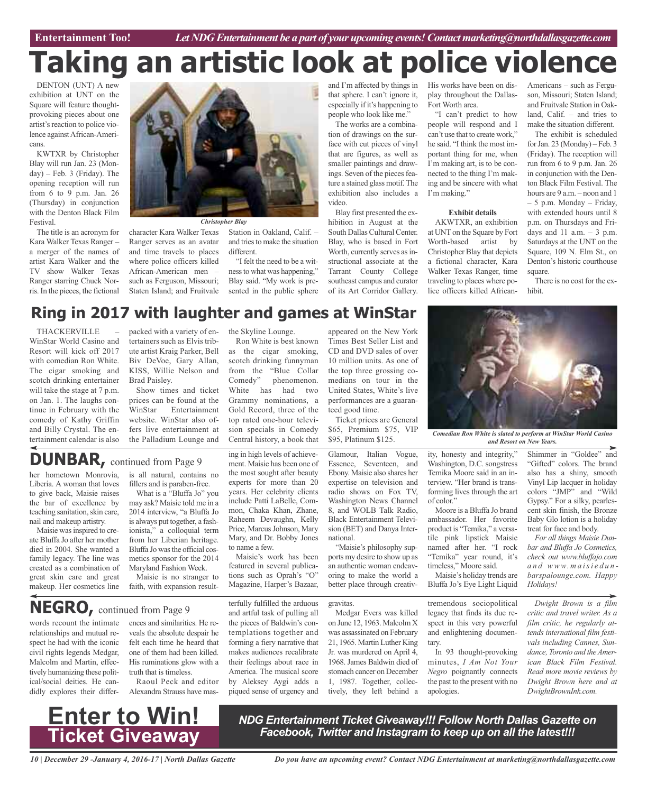**Car Review Entertainment Too!** *Let NDG Entertainment be a part of your upcoming events!Contactmarketing@northdallasgazette.com*

# **Taking an artistic look at police violence**

DENTON (UNT) A new exhibition at UNT on the Square will feature thoughtprovoking pieces about one artist's reaction to police violence againstAfrican-Americans.

KWTXR by Christopher Blay will run Jan. 23 (Monday) – Feb. 3 (Friday). The opening reception will run from 6 to 9 p.m. Jan. 26 (Thursday) in conjunction with the Denton Black Film Festival.

The title is an acronym for Kara Walker Texas Ranger – a merger of the names of artist Kara Walker and the TV show Walker Texas Ranger starring Chuck Norris. In the pieces, the fictional



character Kara Walker Texas Ranger serves as an avatar and time travels to places where police officers killed African-American men – such as Ferguson, Missouri; Staten Island; and Fruitvale

Station in Oakland, Calif. – and tries to make the situation different.

"I felt the need to be a witness to what was happening," Blay said. "My work is presented in the public sphere

and I'm affected by things in His works have been on disthat sphere. I can't ignore it, especially if it's happening to people who look like me."

The works are a combination of drawings on the surface with cut pieces of vinyl that are figures, as well as smaller paintings and drawings. Seven of the pieces feature a stained glass motif. The exhibition also includes a video.

Blay first presented the exhibition in August at the South Dallas Cultural Center. Blay, who is based in Fort Worth, currently serves as instructional associate at the Tarrant County College southeast campus and curator of its Art Corridor Gallery.

appeared on the New York

play throughout the Dallas-Fort Worth area.

"I can't predict to how people will respond and I can't use that to create work," he said. "I think the most important thing for me, when I'm making art, is to be connected to the thing I'm making and be sincere with what I'm making."

### **Exhibit details**

AKWTXR, an exhibition at UNT on the Square by Fort Worth-based artist by Christopher Blay that depicts a fictional character, Kara Walker Texas Ranger, time traveling to places where police officers killed AfricanAmericans – such as Ferguson, Missouri; Staten Island; and Fruitvale Station in Oakland, Calif. – and tries to make the situation different.

The exhibit is scheduled for Jan. 23 (Monday) – Feb. 3 (Friday). The reception will run from 6 to 9 p.m. Jan. 26 in conjunction with the Denton Black Film Festival. The hours are 9 a.m. – noon and 1 – 5 p.m. Monday – Friday, with extended hours until 8 p.m. on Thursdays and Fridays and  $11$  a.m.  $-3$  p.m. Saturdays at the UNT on the Square, 109 N. Elm St., on Denton's historic courthouse square.

There is no cost for the exhibit.

## **Ring in 2017 with laughter and games at WinStar**

**THACKERVILLE** WinStar World Casino and Resort will kick off 2017 with comedian Ron White. The cigar smoking and scotch drinking entertainer will take the stage at 7 p.m. on Jan. 1. The laughs continue in February with the comedy of Kathy Griffin and Billy Crystal. The entertainment calendar is also

her hometown Monrovia, Liberia. A woman that loves to give back, Maisie raises the bar of excellence by teaching sanitation, skin care, nail and makeup artistry. Maisie was inspired to create Bluffa Jo after her mother died in 2004. She wanted a family legacy. The line was created as a combination of great skin care and great makeup. Her cosmetics line

**DUNBAR,** continued from Page <sup>9</sup>

packed with a variety of entertainers such as Elvis tribute artist Kraig Parker, Bell Biv DeVoe, Gary Allan, KISS, Willie Nelson and Brad Paisley.

Show times and ticket prices can be found at the WinStar Entertainment website. WinStar also offers live entertainment at the Palladium Lounge and

is all natural, contains no fillers and is paraben-free. What is a "Bluffa Jo" you may ask? Maisie told me in a 2014 interview, "a Bluffa Jo is always put together, a fashionista," a colloquial term from her Liberian heritage. Bluffa Jo was the official cosmetics sponsor for the 2014 Maryland Fashion Week. Maisie is no stranger to faith, with expansion resultthe Skyline Lounge.

Ron White is best known as the cigar smoking, scotch drinking funnyman from the "Blue Collar Comedy" phenomenon. White has had two Grammy nominations, a Gold Record, three of the top rated one-hour television specials in Comedy Central history, a book that

ing in high levels of achievement. Maisie has been one of the most sought after beauty experts for more than 20 years. Her celebrity clients include Patti LaBelle, Common, Chaka Khan, Zhane, Raheem Devaughn, Kelly Price, Marcus Johnson, Mary Mary, and Dr. Bobby Jones

to name a few.

Times Best Seller List and CD and DVD sales of over 10 million units. As one of the top three grossing comedians on tour in the United States, White's live performances are a guaranteed good time. Ticket prices are General

\$65, Premium \$75, VIP<br>\$95, Platinum \$125.

Glamour, Italian Vogue, Essence, Seventeen, and Ebony. Maisie also shares her expertise on television and radio shows on Fox TV, Washington News Channel 8, and WOLB Talk Radio, Black Entertainment Television (BET) and Danya International.

"Maisie's philosophy supports my desire to show up as an authentic woman endeavoring to make the world a better place through creativ-

Medgar Evers was killed on June 12, 1963. Malcolm X was assassinated on February 21, 1965. Martin Luther King Jr. was murdered on April 4, tively, they left behind a

\$95, Platinum \$125. *Comedian Ron White is slated to perform at WinStar World Casino and Resort on New Years.*

Shimmer in "Goldee" and "Gifted" colors. The brand also has a shiny, smooth Vinyl Lip lacquer in holiday colors "JMP" and "Wild Gypsy." For a silky, pearlescent skin finish, the Bronze Baby Glo lotion is a holiday treat for face and body.

*For all things Maisie Dunbar and Bluffa Jo Cosmetics, check out www.bluffajo.com a n d www. m a isi e d u n barspalounge.com. Happy Holidays!*

*Dwight Brown is a film critic and travel writer. As a film critic, he regularly attends international film festivals including Cannes, Sundance, Toronto and theAmerican Black Film Festival. Read more movie reviews by Dwight Brown here and at DwightBrownInk.com.*

tively humanizing these political/social deities. He candidly explores their differ-**Enter to Win! Ticket Giveaway**

relationships and mutual respect he had with the iconic

words recount the intimate civil rights legends Medgar, Malcolm and Martin, effecences and similarities. He reveals the absolute despair he felt each time he heard that one of them had been killed. His ruminations glow with a truth that is timeless. **NEGRO,** continued from Page <sup>9</sup>

> Raoul Peck and editor Alexandra Strauss have mas-

terfully fulfilled the arduous and artful task of pulling all the pieces of Baldwin's contemplations together and forming a fiery narrative that makes audiences recalibrate their feelings about race in America. The musical score by Aleksey Aygi adds a piqued sense of urgency and

Maisie's work has been featured in several publications such as Oprah's "O" Magazine, Harper's Bazaar,

gravitas.

1968. James Baldwin died of stomach cancer on December 1, 1987. Together, collecminutes, *I Am Not Your Negro* poignantly connects the past to the present with no apologies.

*NDG Entertainment Ticket Giveaway!!! Follow North Dallas Gazette on Facebook, Twitter and Instagram to keep up on all the latest!!!*

*10 | December 29 -January 4, 2016-17 | North Dallas Gazette*

tary.

tremendous sociopolitical legacy that finds its due respect in this very powerful and enlightening documen-

Maisie's holiday trends are Bluffa Jo's Eye Light Liquid

tile pink lipstick Maisie named after her. "I rock "Temika" year round, it's timeless," Moore said.

In 93 thought-provoking

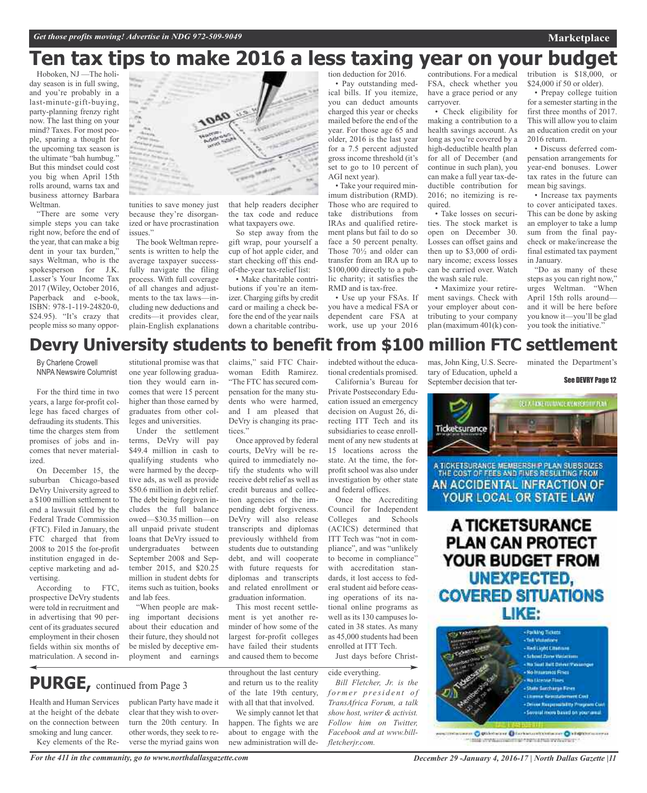## **Ten tax tips to make 2016 a less taxing year on your budget**

Hoboken, NJ —The holiday season is in full swing, and you're probably in a last-minute-gift-buying, party-planning frenzy right now. The last thing on your mind? Taxes. For most people, sparing a thought for the upcoming tax season is the ultimate "bah humbug." But this mindset could cost you big when April 15th rolls around, warns tax and business attorney Barbara Weltman.

"There are some very simple steps you can take right now, before the end of the year, that can make a big dent in your tax burden," says Weltman, who is the spokesperson for J.K. Lasser's Your Income Tax 2017 (Wiley, October 2016, Paperback and e-book, ISBN: 978-1-119-24820-0, \$24.95). "It's crazy that people miss so many oppor-



tunities to save money just because they're disorganized or have procrastination issues.'

The book Weltman represents is written to help the average taxpayer successfully navigate the filing process. With full coverage of all changes and adjustments to the tax laws—including new deductions and credits—it provides clear, plain-English explanations that help readers decipher the tax code and reduce what taxpayers owe.

So step away from the gift wrap, pour yourself a cup of hot apple cider, and start checking off this endof-the-year tax-relief list:

• Make charitable contributions if you're an itemizer. Charging gifts by credit card or mailing a check before the end of the year nails down a charitable contribution deduction for 2016.

• Pay outstanding medical bills. If you itemize, you can deduct amounts charged this year or checks mailed before the end of the year. For those age 65 and older, 2016 is the last year for a 7.5 percent adjusted gross income threshold (it's set to go to 10 percent of AGI next year). • Take your required min-

imum distribution (RMD). Those who are required to take distributions from IRAs and qualified retirement plans but fail to do so face a 50 percent penalty. Those 70½ and older can transfer from an IRA up to \$100,000 directly to a public charity; it satisfies the RMD and is tax-free.

• Use up your FSAs. If you have a medical FSA or dependent care FSA at work, use up your 2016 contributions. For a medical FSA, check whether you have a grace period or any carryover.

• Check eligibility for making a contribution to a health savings account. As long as you're covered by a high-deductible health plan for all of December (and continue in such plan), you can make a full year tax-deductible contribution for 2016; no itemizing is required.

• Take losses on securities. The stock market is open on December 30. Losses can offset gains and then up to \$3,000 of ordinary income; excess losses can be carried over. Watch the wash sale rule.

• Maximize your retirement savings. Check with your employer about contributing to your company plan (maximum 401(k) contribution is \$18,000, or \$24,000 if 50 or older).

• Prepay college tuition for a semester starting in the first three months of 2017. This will allow you to claim an education credit on your 2016 return.

• Discuss deferred compensation arrangements for year-end bonuses. Lower tax rates in the future can mean big savings.

• Increase tax payments to cover anticipated taxes. This can be done by asking an employer to take a lump sum from the final paycheck or make/increase the final estimated tax payment in January.

"Do as many of these steps as you can right now," urges Weltman. "When April 15th rolls around and it will be here before you know it—you'll be glad you took the initiative."

## **Devry University students to benefit from \$100 million FTC settlement**

By Charlene Crowell NNPA Newswire Columnist

For the third time in two years, a large for-profit college has faced charges of defrauding its students. This time the charges stem from promises of jobs and incomes that never materialized.

On December 15, the suburban Chicago-based DeVry University agreed to a \$100 million settlement to end a lawsuit filed by the Federal Trade Commission (FTC). Filed in January, the FTC charged that from 2008 to 2015 the for-profit institution engaged in deceptive marketing and advertising.

According to FTC, prospective DeVry students were told in recruitment and in advertising that 90 percent of its graduates secured employment in their chosen fields within six months of matriculation. A second in-

Health and Human Services at the height of the debate on the connection between smoking and lung cancer. Key elements of the Re-

**PURGE,** continued from Page <sup>3</sup>

stitutional promise was that one year following graduation they would earn incomes that were 15 percent higher than those earned by graduates from other colleges and universities.

Under the settlement terms, DeVry will pay \$49.4 million in cash to qualifying students who were harmed by the deceptive ads, as well as provide \$50.6 million in debt relief. The debt being forgiven includes the full balance owed—\$30.35 million—on all unpaid private student loans that DeVry issued to undergraduates between September 2008 and September 2015, and \$20.25 million in student debts for items such as tuition, books and lab fees.

"When people are making important decisions about their education and their future, they should not be misled by deceptive employment and earnings

publican Party have made it clear that they wish to overturn the 20th century. In other words, they seek to reverse the myriad gains won

claims," said FTC Chairwoman Edith Ramirez. "The FTC has secured compensation for the many students who were harmed, and I am pleased that DeVry is changing its practices."

Once approved by federal courts, DeVry will be required to immediately notify the students who will receive debt relief as well as credit bureaus and collection agencies of the impending debt forgiveness. DeVry will also release transcripts and diplomas previously withheld from students due to outstanding debt, and will cooperate with future requests for diplomas and transcripts and related enrollment or graduation information.

This most recent settlement is yet another reminder of how some of the largest for-profit colleges have failed their students and caused them to become

throughout the last century and return us to the reality of the late 19th century, with all that that involved.

We simply cannot let that happen. The fights we are about to engage with the new administration will deindebted without the educational credentials promised. California's Bureau for

Private Postsecondary Education issued an emergency decision on August 26, directing ITT Tech and its subsidiaries to cease enrollment of any new students at 15 locations across the state. At the time, the forprofit school was also under investigation by other state and federal offices.

Once the Accrediting Council for Independent Colleges and Schools (ACICS) determined that ITT Tech was "not in compliance", and was "unlikely to become in compliance" with accreditation standards, it lost access to federal student aid before ceasing operations of its national online programs as well as its 130 campuses located in 38 states. As many as 45,000 students had been enrolled at ITT Tech.

Just days before Christ-

cide everything.

*Bill Fletcher, Jr. is the f o r m e r p r e si d e n t o f TransAfrica Forum, a talk show host, writer & activist. Follow him on Twitter, Facebook and at www.billfletcherjr.com.*

mas, John King, U.S. Secretary of Education, upheld a September decision that ter-

minated the Department's

See DEVRY Page 12



A TICKETSURANCE **PLAN CAN PROTECT** YOUR BUDGET FROM **UNEXPECTED, COVERED SITUATIONS** LIKE:

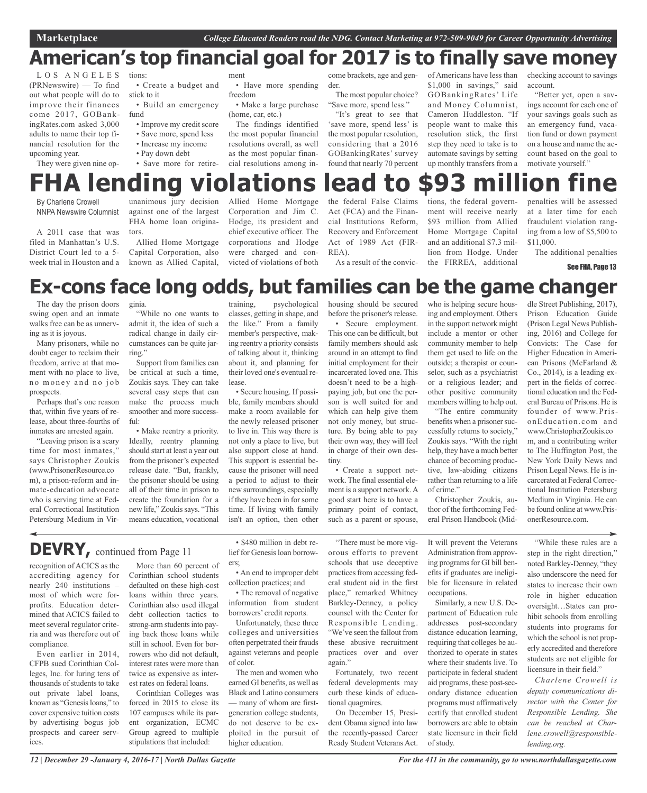## **American's top financial goal for 2017 is to finally save money**

L O S A N G E L E S (PRNewswire) — To find out what people will do to improve their finances come 2017, GOBankingRates.com asked 3,000 adults to name their top financial resolution for the upcoming year.

They were given nine op-

tions:

• Create a budget and

stick to it • Build an emergency fund

- Improve my credit score
- Save more, spend less
- Increase my income • Pay down debt
- Save more for retire-

ment

• Have more spending freedom

• Make a large purchase (home, car, etc.)

The findings identified the most popular financial resolutions overall, as well as the most popular financial resolutions among in-

come brackets, age and gender.

The most popular choice? "Save more, spend less."

"It's great to see that 'save more, spend less' is the most popular resolution, considering that a 2016 GOBankingRates' survey found that nearly 70 percent

of Americans have less than \$1,000 in savings," said GOBankingRates' Life and Money Columnist, Cameron Huddleston. "If people want to make this resolution stick, the first step they need to take is to automate savings by setting up monthly transfers from a checking account to savings account.

"Better yet, open a savings account for each one of your savings goals such as an emergency fund, vacation fund or down payment on a house and name the account based on the goal to motivate yourself."

## **FHA lending violations lead to \$93 million fine**

By Charlene Crowell NNPA Newswire Columnist

A 2011 case that was filed in Manhattan's U.S. District Court led to a 5 week trial in Houston and a

unanimous jury decision against one of the largest FHA home loan originators.

Allied Home Mortgage Capital Corporation, also known as Allied Capital,

Allied Home Mortgage Corporation and Jim C. Hodge, its president and chief executive officer. The corporations and Hodge were charged and convicted of violations of both

### the federal False Claims Act (FCA) and the Financial Institutions Reform, Recovery and Enforcement Act of 1989 Act (FIR-REA).

As a result of the convic-

tions, the federal government will receive nearly \$93 million from Allied Home Mortgage Capital and an additional \$7.3 million from Hodge. Under the FIRREA, additional

penalties will be assessed at a later time for each fraudulent violation ranging from a low of \$5,500 to \$11,000.

The additional penalties

See FHA, Page 13

## **Ex-cons face long odds, but families can be the game changer**

The day the prison doors swing open and an inmate walks free can be as unnerving as it is joyous.

Many prisoners, while no doubt eager to reclaim their freedom, arrive at that moment with no place to live, no money and no job prospects.

Perhaps that's one reason that, within five years of release, about three-fourths of inmates are arrested again.

"Leaving prison is a scary time for most inmates," says Christopher Zoukis (www.PrisonerResource.co m), a prison-reform and inmate-education advocate who is serving time at Federal Correctional Institution Petersburg Medium in Vir-

ginia. "While no one wants to admit it, the idea of such a radical change in daily circumstances can be quite jarring."

Support from families can be critical at such a time, Zoukis says. They can take several easy steps that can make the process much smoother and more successful:

• Make reentry a priority. Ideally, reentry planning should start at least a year out from the prisoner's expected release date. "But, frankly, the prisoner should be using all of their time in prison to create the foundation for a new life," Zoukissays. "This means education, vocational

training, psychological classes, getting in shape, and the like." From a family member's perspective, making reentry a priority consists of talking about it, thinking about it, and planning for their loved one's eventual release.

• Secure housing. If possible, family members should make a room available for the newly released prisoner to live in. This way there is not only a place to live, but also support close at hand. This support is essential because the prisoner will need a period to adjust to their new surroundings, especially if they have been in forsome time. If living with family isn't an option, then other

housing should be secured before the prisoner's release. • Secure employment.

This one can be difficult, but family members should ask around in an attempt to find initial employment for their incarcerated loved one. This doesn't need to be a highpaying job, but one the person is well suited for and which can help give them not only money, but structure. By being able to pay their own way, they will feel in charge of their own destiny.

• Create a support network. The final essential element is a support network.A good start here is to have a primary point of contact, such as a parent or spouse, who is helping secure housing and employment. Others in the support network might include a mentor or other community member to help them get used to life on the outside; a therapist or counselor, such as a psychiatrist or a religious leader; and other positive community members willing to help out. "The entire community

benefits when a prisoner successfully returns to society," Zoukis says. "With the right help, they have a much better chance of becoming productive, law-abiding citizens rather than returning to a life of crime."

Christopher Zoukis, author of the forthcoming Federal Prison Handbook (Mid-

dle Street Publishing, 2017), Prison Education Guide (Prison Legal News Publishing, 2016) and College for Convicts: The Case for Higher Education in American Prisons (McFarland & Co., 2014), is a leading expert in the fields of correctional education and the Federal Bureau of Prisons. He is founder of www.PrisonEducation.com and www.ChristopherZoukis.co m, and a contributing writer to The Huffington Post, the New York Daily News and Prison Legal News. He is incarcerated at Federal Correctional Institution Petersburg Medium in Virginia. He can be found online at www.PrisonerResource.com.

## **DEVRY,** continued from Page <sup>11</sup>

recognition of ACICS as the accrediting agency for nearly 240 institutions – most of which were forprofits. Education determined that ACICS failed to meet several regulator criteria and was therefore out of compliance.

Even earlier in 2014, CFPB sued Corinthian Colleges, Inc. for luring tens of thousands of students to take out private label loans, known as "Genesisloans," to cover expensive tuition costs by advertising bogus job prospects and career services.

More than 60 percent of Corinthian school students defaulted on these high-cost loans within three years. Corinthian also used illegal debt collection tactics to strong-arm students into paying back those loans while still in school. Even for borrowers who did not default, interest rates were more than twice as expensive as interest rates on federal loans. Corinthian Colleges was

forced in 2015 to close its 107 campuses while its parent organization, ECMC Group agreed to multiple stipulations that included:

• \$480 million in debt relief for Genesis loan borrowers;

• An end to improper debt collection practices; and

• The removal of negative information from student borrowers' credit reports.

Unfortunately, these three colleges and universities often perpetrated their frauds against veterans and people of color.

The men and women who earned GI benefits, as well as Black and Latino consumers — many of whom are firstgeneration college students, do not deserve to be exploited in the pursuit of higher education.

"There must be more vigorous efforts to prevent schools that use deceptive practices from accessing federal student aid in the first place," remarked Whitney Barkley-Denney, a policy counsel with the Center for Responsible Lending. "We've seen the fallout from these abusive recruitment practices over and over again."

Fortunately, two recent federal developments may curb these kinds of educational quagmires. On December 15, Presi-

dent Obama signed into law the recently-passed Career Ready Student Veterans Act.

It will prevent the Veterans Administration from approving programs for GI bill benefits if graduates are ineligible for licensure in related occupations.

Similarly, a new U.S. Department of Education rule addresses post-secondary distance education learning, requiring that colleges be authorized to operate in states where their students live. To participate in federal student aid programs, these post-secondary distance education programs must affirmatively certify that enrolled student borrowers are able to obtain state licensure in their field of study.

"While these rules are a step in the right direction," noted Barkley-Denney, "they also underscore the need for states to increase their own role in higher education oversight…States can prohibit schools from enrolling students into programs for which the school is not properly accredited and therefore students are not eligible for licensure in their field."

*Charlene Crowell is deputy communications director with the Center for Responsible Lending. She can be reached at Charlene.crowell@responsiblelending.org.*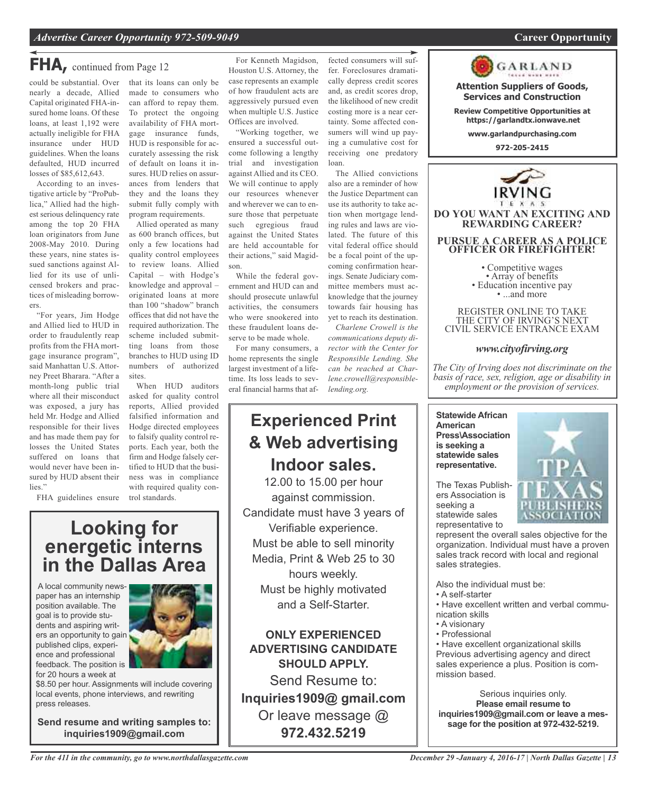**Attention Suppliers of Goods, Services and Construction Review Competitive Opportunities at https://garlandtx.ionwave.net www.garlandpurchasing.com 972-205-2415**

GARLAND

**DO YOU WANT AN EXCITING AND REWARDING CAREER?**

**PURSUE A CAREER AS A POLICE OFFICER OR FIREFIGHTER!**

• Competitive wages<br>• Array of benefits<br>• Education incentive pay<br>• ...and more

REGISTER ONLINE TO TAKE THE CITY OF IRVING'S NEXT CIVIL SERVICE ENTRANCE EXAM

*www.cityofirving.org*

*The City of Irving does not discriminate on the basis of race, sex, religion, age or disability in employment or the provision of services.*

## **FHA,** continued from Page <sup>12</sup>

could be substantial. Over nearly a decade, Allied Capital originated FHA-insured home loans. Of these loans, at least 1,192 were actually ineligible for FHA insurance under HUD guidelines. When the loans defaulted, HUD incurred losses of \$85,612,643.

According to an investigative article by "ProPublica," Allied had the highest serious delinquency rate among the top 20 FHA loan originators from June 2008-May 2010. During these years, nine states issued sanctions against Allied for its use of unlicensed brokers and practices of misleading borrowers.

"For years, Jim Hodge and Allied lied to HUD in order to fraudulently reap profits from the FHA mortgage insurance program", said Manhattan U.S. Attorney Preet Bharara. "After a month-long public trial where all their misconduct was exposed, a jury has held Mr. Hodge and Allied responsible for their lives and has made them pay for losses the United States suffered on loans that would never have been insured by HUD absent their lies."

that its loans can only be made to consumers who can afford to repay them. To protect the ongoing availability of FHA mortgage insurance funds, HUD is responsible for accurately assessing the risk of default on loans it insures. HUD relies on assurances from lenders that they and the loans they submit fully comply with program requirements.

Allied operated as many as 600 branch offices, but only a few locations had quality control employees to review loans. Allied Capital – with Hodge's knowledge and approval – originated loans at more than 100 "shadow" branch offices that did not have the required authorization. The scheme included submitting loans from those branches to HUD using ID numbers of authorized sites.

When HUD auditors asked for quality control reports, Allied provided falsified information and Hodge directed employees to falsify quality control reports. Each year, both the firm and Hodge falsely certified to HUD that the business was in compliance with required quality control standards.

FHA guidelines ensure

## **Looking for energetic interns in the Dallas Area**

A local community newspaper has an internship position available. The goal is to provide students and aspiring writers an opportunity to gain published clips, experience and professional feedback. The position is for 20 hours a week at



\$8.50 per hour. Assignments will include covering local events, phone interviews, and rewriting press releases.

**Send resume and writing samples to: inquiries1909@gmail.com**

For Kenneth Magidson, Houston U.S. Attorney, the case represents an example of how fraudulent acts are aggressively pursued even when multiple U.S. Justice Offices are involved.

"Working together, we ensured a successful outcome following a lengthy trial and investigation against Allied and its CEO. We will continue to apply our resources whenever and wherever we can to ensure those that perpetuate such egregious fraud against the United States are held accountable for their actions," said Magidson.

While the federal government and HUD can and should prosecute unlawful activities, the consumers who were snookered into these fraudulent loans deserve to be made whole.

For many consumers, a home represents the single largest investment of a lifetime. Its loss leads to several financial harms that af-

## **Experienced Print & Web advertising Indoor sales.**

12.00 to 15.00 per hour against commission. Candidate must have 3 years of Verifiable experience. Must be able to sell minority Media, Print & Web 25 to 30 hours weekly. Must be highly motivated and a Self-Starter.

**ONLY EXPERIENCED ADVERTISING CANDIDATE SHOULD APPLY.**

Send Resume to: **Inquiries1909@ gmail.com** Or leave message @ **972.432.5219**

fected consumers will suffer. Foreclosures dramatically depress credit scores and, as credit scores drop, the likelihood of new credit costing more is a near certainty. Some affected consumers will wind up paying a cumulative cost for receiving one predatory loan.

The Allied convictions also are a reminder of how the Justice Department can use its authority to take action when mortgage lending rules and laws are violated. The future of this vital federal office should be a focal point of the upcoming confirmation hearings. Senate Judiciary committee members must acknowledge that the journey towards fair housing has yet to reach its destination.

*Charlene Crowell is the communications deputy director with the Center for Responsible Lending. She can be reached at Charlene.crowell@responsiblelending.org.*

> **Statewide African American Press\Association is seeking a statewide sales representative.**

The Texas Publishers Association is seeking a statewide sales representative to



represent the overall sales objective for the organization. Individual must have a proven sales track record with local and regional sales strategies.

Also the individual must be:

- A self-starter
- Have excellent written and verbal communication skills
- A visionary
- Professional

• Have excellent organizational skills Previous advertising agency and direct sales experience a plus. Position is commission based.

Serious inquiries only. **Please email resume to inquiries1909@gmail.com or leave a message for the position at 972-432-5219.**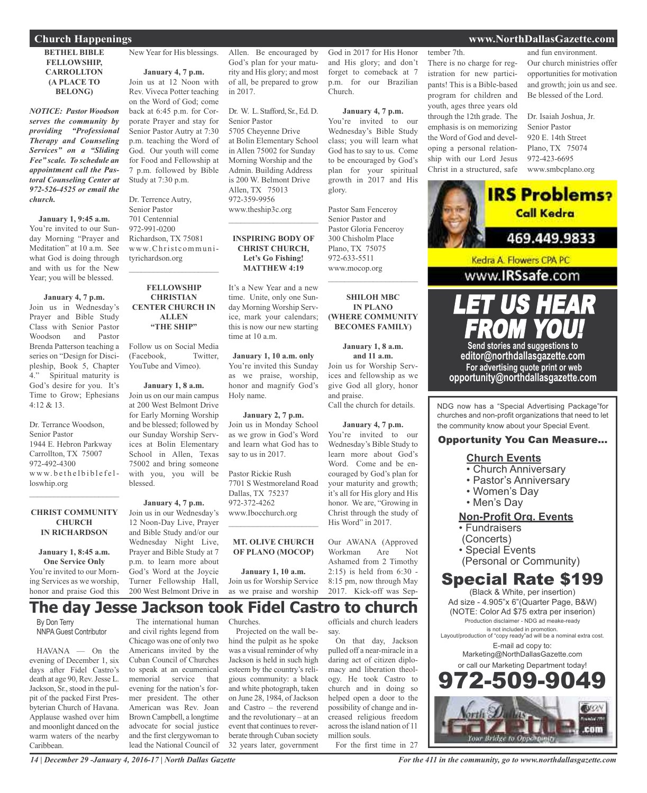**Church Happenings www.NorthDallasGazette.com**

**BETHEL BIBLE FELLOWSHIP, CARROLLTON (A PLACE TO BELONG)**

*NOTICE: Pastor Woodson serves the community by providing "Professional Therapy and Counseling Services" on a "Sliding Fee" scale. To schedule an appointment call the Pastoral Counseling Center at 972-526-4525 or email the church.*

#### **January 1, 9:45 a.m.**

You're invited to our Sunday Morning "Prayer and Meditation" at 10 a.m. See what God is doing through and with us for the New Year; you will be blessed.

#### **January 4, 7 p.m.**

Join us in Wednesday's Prayer and Bible Study Class with Senior Pastor Woodson and Pastor Brenda Patterson teaching a series on "Design for Discipleship, Book 5, Chapter 4." Spiritual maturity is God's desire for you. It's Time to Grow; Ephesians 4:12 & 13.

Dr. Terrance Woodson, Senior Pastor 1944 E. Hebron Parkway Carrollton, TX 75007 972-492-4300 www.bethelbiblefelloswhip.org

### **CHRIST COMMUNITY CHURCH IN RICHARDSON**

 $\mathcal{L}_\text{max}$  and  $\mathcal{L}_\text{max}$  and  $\mathcal{L}_\text{max}$ 

**January 1, 8:45 a.m. One Service Only** You're invited to our Morning Services as we worship, honor and praise God this New Year for His blessings.

### **January 4, 7 p.m.**

Join us at 12 Noon with Rev. Viveca Potter teaching on the Word of God; come back at 6:45 p.m. for Corporate Prayer and stay for Senior Pastor Autry at 7:30 p.m. teaching the Word of God. Our youth will come for Food and Fellowship at 7 p.m. followed by Bible Study at 7:30 p.m.

Dr. Terrence Autry, Senior Pastor 701 Centennial 972-991-0200 Richardson, TX 75081 www.Christcommunityrichardson.org

### **FELLOWSHIP CHRISTIAN CENTER CHURCH IN ALLEN "THE SHIP"**

Follow us on Social Media (Facebook, Twitter, YouTube and Vimeo).

**January 1, 8 a.m.** Join us on our main campus at 200 West Belmont Drive for Early Morning Worship and be blessed; followed by ices at Bolin Elementary School in Allen, Texas 75002 and bring someone with you, you will be blessed.

### Join us in our Wednesday's 12 Noon-Day Live, Prayer and Bible Study and/or our Wednesday Night Live, Prayer and Bible Study at 7 p.m. to learn more about God's Word at the Joycie Turner Fellowship Hall,

 $\overline{\phantom{a}}$  , and the set of the set of the set of the set of the set of the set of the set of the set of the set of the set of the set of the set of the set of the set of the set of the set of the set of the set of the s

 $\mathcal{L}_\text{max}$  , which is a set of the set of the set of the set of the set of the set of the set of the set of the set of the set of the set of the set of the set of the set of the set of the set of the set of the set of

our Sunday Worship Serv-

**January 4, 7 p.m.** 200 West Belmont Drive in

Allen. Be encouraged by God's plan for your maturity and His glory; and most of all, be prepared to grow in 2017.

Dr. W. L. Stafford, Sr., Ed. D. Senior Pastor 5705 Cheyenne Drive at Bolin Elementary School in Allen 75002 for Sunday Morning Worship and the Admin. Building Address is 200 W. Belmont Drive Allen, TX 75013 972-359-9956 www.theship3c.org

### **INSPIRING BODY OF CHRIST CHURCH, Let's Go Fishing! MATTHEW 4:19**

It's a New Year and a new time. Unite, only one Sunday Morning Worship Service, mark your calendars; this is now our new starting time at 10 a.m.

**January 1, 10 a.m. only** You're invited this Sunday as we praise, worship, honor and magnify God's Holy name.

**January 2, 7 p.m.** Join us in Monday School as we grow in God's Word and learn what God has to say to us in 2017.

Pastor Rickie Rush 7701 S Westmoreland Road Dallas, TX 75237 972-372-4262 www.Ibocchurch.org

### **MT. OLIVE CHURCH OF PLANO (MOCOP)**

 $\overline{\phantom{a}}$  , and the set of the set of the set of the set of the set of the set of the set of the set of the set of the set of the set of the set of the set of the set of the set of the set of the set of the set of the s

**January 1, 10 a.m.** Join us for Worship Service as we praise and worship

### God in 2017 for His Honor and His glory; and don't forget to comeback at 7 p.m. for our Brazilian Church.

#### **January 4, 7 p.m.**

You're invited to our Wednesday's Bible Study class; you will learn what God has to say to us. Come to be encouraged by God's plan for your spiritual growth in 2017 and His glory.

Pastor Sam Fenceroy Senior Pastor and Pastor Gloria Fenceroy 300 Chisholm Place Plano, TX 75075 972-633-5511 www.mocop.org

### **SHILOH MBC IN PLANO (WHERE COMMUNITY BECOMES FAMILY)**

 $\mathcal{L}$  , and the set of the set of the set of the set of the set of the set of the set of the set of the set of the set of the set of the set of the set of the set of the set of the set of the set of the set of the set

**January 1, 8 a.m. and 11 a.m.** Join us for Worship Services and fellowship as we give God all glory, honor and praise.

Call the church for details.

**January 4, 7 p.m.** You're invited to our Wednesday's Bible Study to learn more about God's Word. Come and be encouraged by God's plan for your maturity and growth; it's all for His glory and His honor. We are, "Growing in Christ through the study of His Word" in 2017.

Our AWANA (Approved Workman Are Not Ashamed from 2 Timothy 2:15) is held from 6:30 - 8:15 pm, now through May 2017. Kick-off was Sep-

### **The day Jesse Jackson took Fidel Castro to church** Churches.

By Don Terry NNPAGuest Contributor

HAVANA — On the evening of December 1, six days after Fidel Castro's death at age 90, Rev.Jesse L. Jackson, Sr., stood in the pulpit of the packed First Presbyterian Church of Havana. Applause washed over him and moonlight danced on the warm waters of the nearby Caribbean.

The international human and civil rights legend from Chicago was one of only two Americans invited by the Cuban Council of Churches to speak at an ecumenical memorial service that evening for the nation's former president. The other American was Rev. Joan Brown Campbell, a longtime advocate for social justice and the first clergywoman to lead the National Council of

Projected on the wall be-

hind the pulpit as he spoke was a visual reminder of why Jackson is held in such high esteem by the country's religious community: a black and white photograph, taken on June 28, 1984, of Jackson and Castro – the reverend and the revolutionary – at an event that continues to reverberate through Cuban society 32 years later, government

officials and church leaders say.

On that day, Jackson pulled off a near-miracle in a daring act of citizen diplomacy and liberation theology. He took Castro to church and in doing so helped open a door to the possibility of change and increased religious freedom acrossthe island nation of 11 million souls.

For the first time in 27

tember 7th.

There is no charge for registration for new participants! This is a Bible-based program for children and youth, ages three years old through the 12th grade. The emphasis is on memorizing the Word of God and developing a personal relationship with our Lord Jesus Christ in a structured, safe

and fun environment. Our church ministries offer opportunities for motivation and growth; join us and see. Be blessed of the Lord.

Dr. Isaiah Joshua, Jr. Senior Pastor 920 E. 14th Street Plano, TX 75074 972-423-6695 www.smbcplano.org



LET US HEAR  $\textcolor{red}{\bullet}$  you **Send stories and suggestions to**

**editor@northdallasgazette.com For advertising quote print or web opportunity@northdallasgazette.com**

NDG now has a "Special Advertising Package"for churches and non-profit organizations that need to let the community know about your Special Event.

### Opportunity You Can Measure...

### **Church Events**

- Church Anniversary
- Pastor's Anniversary
- Women's Day
- Men's Day

### **Non-Profit Org. Events**

- Fundraisers
- (Concerts)
- Special Events
	- (Personal or Community)

## Special Rate \$199

(Black & White, per insertion) Ad size - 4.905"x 6"(Quarter Page, B&W) (NOTE: Color Ad \$75 extra per inserion) Production disclaimer - NDG ad meake-ready is not included in promotion.

Layout/production of "copy ready"ad will be a nominal extra cost. E-mail ad copy to:

Marketing@NorthDallasGazette.com or call our Marketing Department today!



*14 | December 29 -January 4, 2016-17 | North Dallas Gazette*

*For the 411 in the community, go to www.northdallasgazette.com*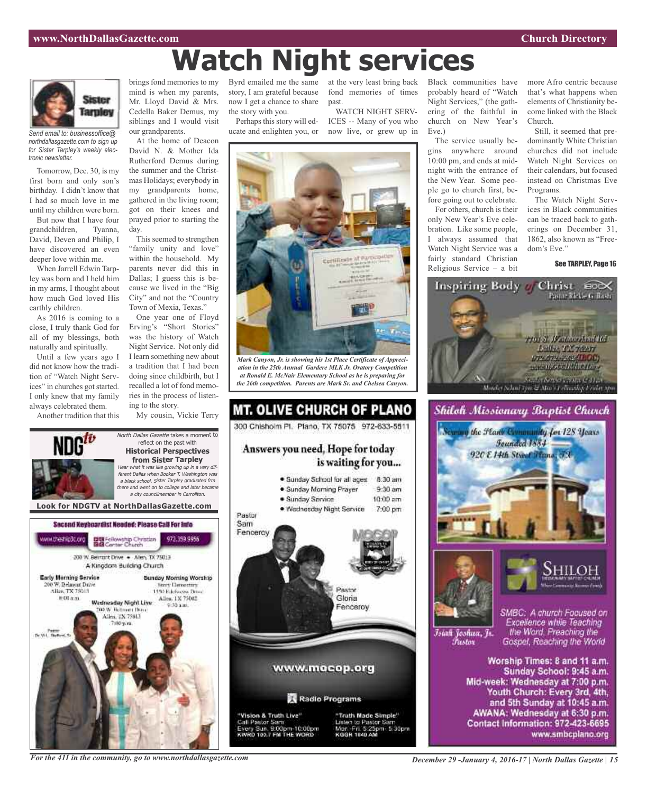## **Watch Night services**



*Send email to: businessoffice@ northdallasgazette.com to sign up for Sister Tarpley's weekly electronic newsletter.*

Tomorrow, Dec. 30, is my first born and only son's birthday. I didn't know that I had so much love in me until my children were born.

But now that I have four grandchildren, Tyanna, David, Deven and Philip, I have discovered an even deeper love within me.

When Jarrell Edwin Tarpley was born and I held him in my arms, I thought about how much God loved His earthly children.

As 2016 is coming to a close, I truly thank God for all of my blessings, both naturally and spiritually.

Until a few years ago I did not know how the tradition of "Watch Night Services" in churches got started. I only knew that my family always celebrated them.

Another tradition that this

brings fond memories to my mind is when my parents, Mr. Lloyd David & Mrs. Cedella Baker Demus, my siblings and I would visit our grandparents.

At the home of Deacon David N. & Mother Ida Rutherford Demus during the summer and the Christmas Holidays; everybody in my grandparents home, gathered in the living room; got on their knees and prayed prior to starting the day.

This seemed to strengthen "family unity and love" within the household. My parents never did this in Dallas; I guess this is because we lived in the "Big City" and not the "Country Town of Mexia, Texas."

One year one of Floyd Erving's "Short Stories" was the history of Watch Night Service. Not only did I learn something new about a tradition that I had been doing since childbirth, but I recalled a lot of fond memories in the process of listening to the story.

My cousin, Vickie Terry

North Dallas Gazette takes a moment to reflect on the past with **Historical Perspectives from Sister Tarpley**

Byrd emailed me the same at the very least bring back now I get a chance to share the story with you.

Perhaps this story will educate and enlighten you, or

story, I am grateful because fond memories of times past.

WATCH NIGHT SERV-ICES -- Many of you who now live, or grew up in



*Mark Canyon, Jr. is showing his 1st Place Certificate of Appreciation in the 25th Annual Gardere MLK Jr. Oratory Competition at Ronald E. McNair Elementary School as he is preparing for the 26th competition. Parents are Mark Sr. and Chelsea Canyon.*



Black communities have probably heard of "Watch Night Services," (the gathering of the faithful in church on New Year's Eve.)

The service usually begins anywhere around 10:00 pm, and ends at midnight with the entrance of the New Year. Some people go to church first, before going out to celebrate.

For others, church is their only New Year's Eve celebration. Like some people, I always assumed that Watch Night Service was a fairly standard Christian Religious Service – a bit

more Afro centric because that's what happens when elements of Christianity become linked with the Black Church.

Still, it seemed that predominantly White Christian churches did not include Watch Night Services on their calendars, but focused instead on Christmas Eve Programs.

The Watch Night Services in Black communities can be traced back to gatherings on December 31, 1862, also known as "Freedom's Eve."

See TARPLEY, Page 16







Islah Joshua, Jr. Fustor

SMBC: A church Focused on Excellence while Teaching the Word. Preaching the Gospel, Reaching the World

Worship Times: 8 and 11 a.m. Sunday School: 9:45 a.m. Mid-week: Wednesday at 7:00 p.m. Youth Church: Every 3rd, 4th, and 5th Sunday at 10:45 a.m. AWANA: Wednesday at 6:30 p.m. Contact Information: 972-423-6695 www.smbcplano.org

Hear what it was like growing up in <sup>a</sup> very different Dallas when Booker T. Washington was <sup>a</sup> black school. Sister Tarpley graduated frm there and went on to college and later became <sup>a</sup> city councilmember in Carrollton. **Look for NDGTV at NorthDallasGazette.com** Second Keyboardist Needed: Please CaB For Info DE Fellowship Christian<br>BIB Center Church ww.theshlp3c.org 972.359.9956 200 W. Bernsht Drive . - Allen, TX 75013 A Kingdom Building Church **Early Morning Service** Sunday Morning Worship 00 W. Belmont Drive **Nory Demectors** Alice TX 75013 1450 Ethnologies Detroit Allen, 1X 75002 **图 00 点 图** Wadnasday Night Live **DO W. Retroem Days** Allen, TX 75013 Tv.Wit. New

*For the 411 in the community, go to www.northdallasgazette.com*

*December 29 -January 4, 2016-17 | North Dallas Gazette | 15*